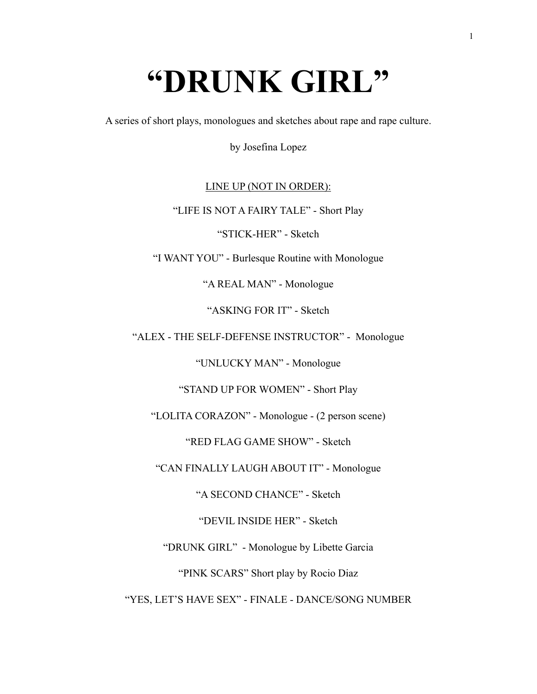# **"DRUNK GIRL"**

A series of short plays, monologues and sketches about rape and rape culture.

by Josefina Lopez

# LINE UP (NOT IN ORDER):

"LIFE IS NOT A FAIRY TALE" - Short Play

"STICK-HER" - Sketch

"I WANT YOU" - Burlesque Routine with Monologue

"A REAL MAN" - Monologue

"ASKING FOR IT" - Sketch

"ALEX - THE SELF-DEFENSE INSTRUCTOR" - Monologue

"UNLUCKY MAN" - Monologue

"STAND UP FOR WOMEN" - Short Play

"LOLITA CORAZON" - Monologue - (2 person scene)

"RED FLAG GAME SHOW" - Sketch

"CAN FINALLY LAUGH ABOUT IT" - Monologue

"A SECOND CHANCE" - Sketch

"DEVIL INSIDE HER" - Sketch

"DRUNK GIRL" - Monologue by Libette Garcia

"PINK SCARS" Short play by Rocio Diaz

"YES, LET'S HAVE SEX" - FINALE - DANCE/SONG NUMBER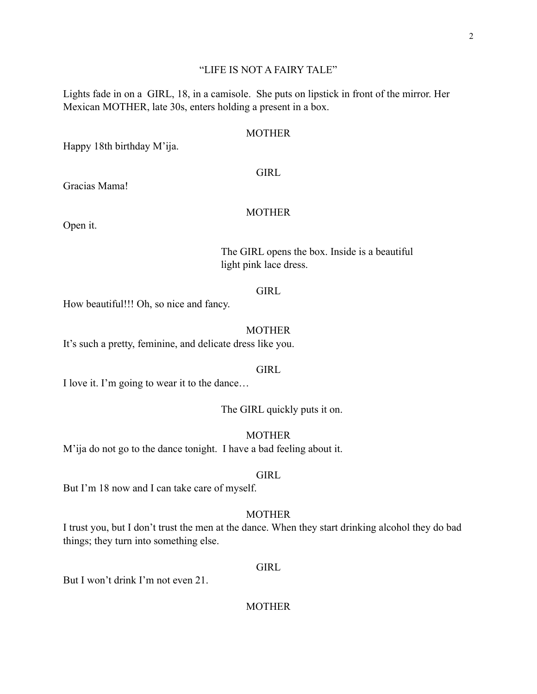#### "LIFE IS NOT A FAIRY TALE"

Lights fade in on a GIRL, 18, in a camisole. She puts on lipstick in front of the mirror. Her Mexican MOTHER, late 30s, enters holding a present in a box.

#### MOTHER

Happy 18th birthday M'ija.

#### GIRL

Gracias Mama!

# MOTHER

Open it.

# The GIRL opens the box. Inside is a beautiful light pink lace dress.

# **GIRL**

How beautiful!!! Oh, so nice and fancy.

#### MOTHER

It's such a pretty, feminine, and delicate dress like you.

#### GIRL

I love it. I'm going to wear it to the dance…

# The GIRL quickly puts it on.

MOTHER

M'ija do not go to the dance tonight. I have a bad feeling about it.

#### GIRL

But I'm 18 now and I can take care of myself.

#### MOTHER

I trust you, but I don't trust the men at the dance. When they start drinking alcohol they do bad things; they turn into something else.

#### GIRL

But I won't drink I'm not even 21.

#### MOTHER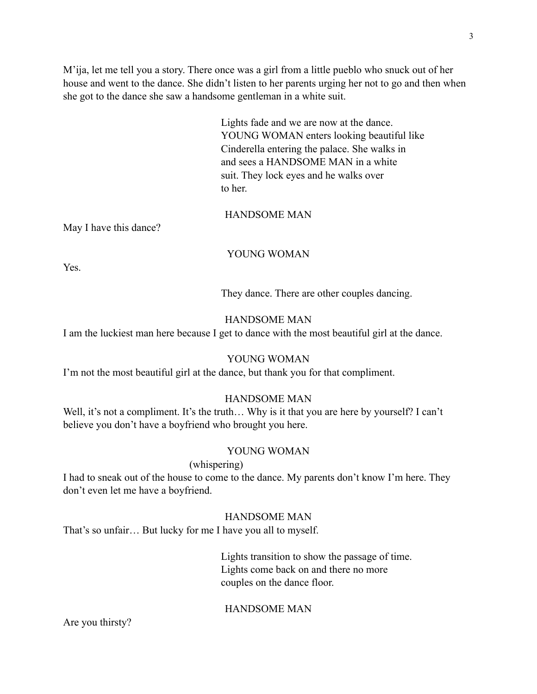M'ija, let me tell you a story. There once was a girl from a little pueblo who snuck out of her house and went to the dance. She didn't listen to her parents urging her not to go and then when she got to the dance she saw a handsome gentleman in a white suit.

> Lights fade and we are now at the dance. YOUNG WOMAN enters looking beautiful like Cinderella entering the palace. She walks in and sees a HANDSOME MAN in a white suit. They lock eyes and he walks over to her.

# HANDSOME MAN

May I have this dance?

#### YOUNG WOMAN

**Yes**.

They dance. There are other couples dancing.

### HANDSOME MAN

I am the luckiest man here because I get to dance with the most beautiful girl at the dance.

## YOUNG WOMAN

I'm not the most beautiful girl at the dance, but thank you for that compliment.

#### HANDSOME MAN

Well, it's not a compliment. It's the truth... Why is it that you are here by yourself? I can't believe you don't have a boyfriend who brought you here.

#### YOUNG WOMAN

# (whispering)

I had to sneak out of the house to come to the dance. My parents don't know I'm here. They don't even let me have a boyfriend.

# HANDSOME MAN

That's so unfair… But lucky for me I have you all to myself.

 Lights transition to show the passage of time. Lights come back on and there no more couples on the dance floor.

#### HANDSOME MAN

Are you thirsty?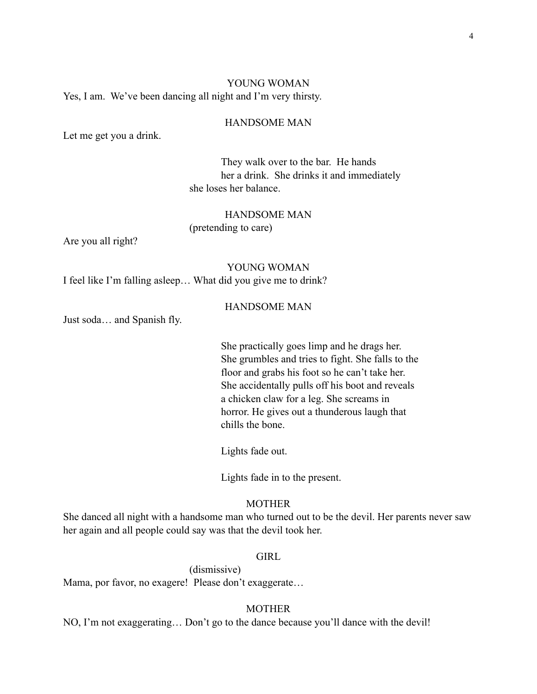# YOUNG WOMAN Yes, I am. We've been dancing all night and I'm very thirsty.

#### HANDSOME MAN

Let me get you a drink.

 They walk over to the bar. He hands her a drink. She drinks it and immediately she loses her balance.

#### HANDSOME MAN

(pretending to care)

Are you all right?

# YOUNG WOMAN

I feel like I'm falling asleep… What did you give me to drink?

#### HANDSOME MAN

Just soda… and Spanish fly.

 She practically goes limp and he drags her. She grumbles and tries to fight. She falls to the floor and grabs his foot so he can't take her. She accidentally pulls off his boot and reveals a chicken claw for a leg. She screams in horror. He gives out a thunderous laugh that chills the bone.

Lights fade out.

Lights fade in to the present.

#### **MOTHER**

She danced all night with a handsome man who turned out to be the devil. Her parents never saw her again and all people could say was that the devil took her.

# **GIRL**

 (dismissive) Mama, por favor, no exagere! Please don't exaggerate…

# **MOTHER**

NO, I'm not exaggerating… Don't go to the dance because you'll dance with the devil!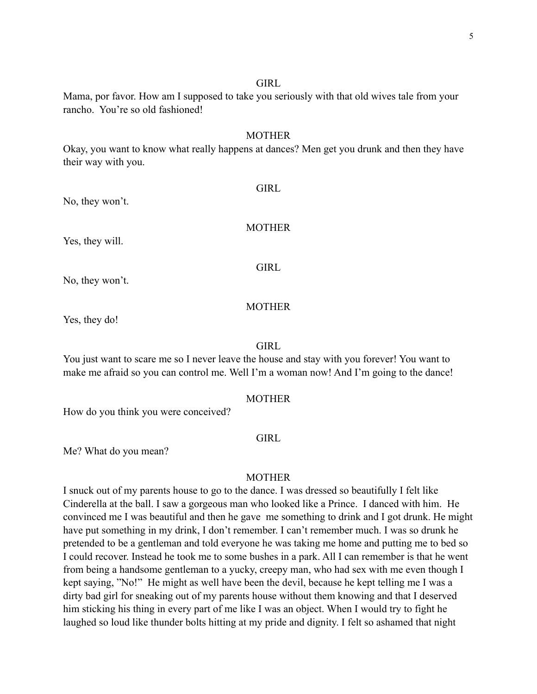#### **GIRL**

# Mama, por favor. How am I supposed to take you seriously with that old wives tale from your rancho. You're so old fashioned!

#### MOTHER

Okay, you want to know what really happens at dances? Men get you drunk and then they have their way with you.

No, they won't.

MOTHER

**GIRL** 

Yes, they will.

**GIRL** 

No, they won't.

#### MOTHER

Yes, they do!

#### **GIRL**

You just want to scare me so I never leave the house and stay with you forever! You want to make me afraid so you can control me. Well I'm a woman now! And I'm going to the dance!

#### **MOTHER**

How do you think you were conceived?

#### **GIRL**

Me? What do you mean?

#### MOTHER

I snuck out of my parents house to go to the dance. I was dressed so beautifully I felt like Cinderella at the ball. I saw a gorgeous man who looked like a Prince. I danced with him. He convinced me I was beautiful and then he gave me something to drink and I got drunk. He might have put something in my drink, I don't remember. I can't remember much. I was so drunk he pretended to be a gentleman and told everyone he was taking me home and putting me to bed so I could recover. Instead he took me to some bushes in a park. All I can remember is that he went from being a handsome gentleman to a yucky, creepy man, who had sex with me even though I kept saying, "No!" He might as well have been the devil, because he kept telling me I was a dirty bad girl for sneaking out of my parents house without them knowing and that I deserved him sticking his thing in every part of me like I was an object. When I would try to fight he laughed so loud like thunder bolts hitting at my pride and dignity. I felt so ashamed that night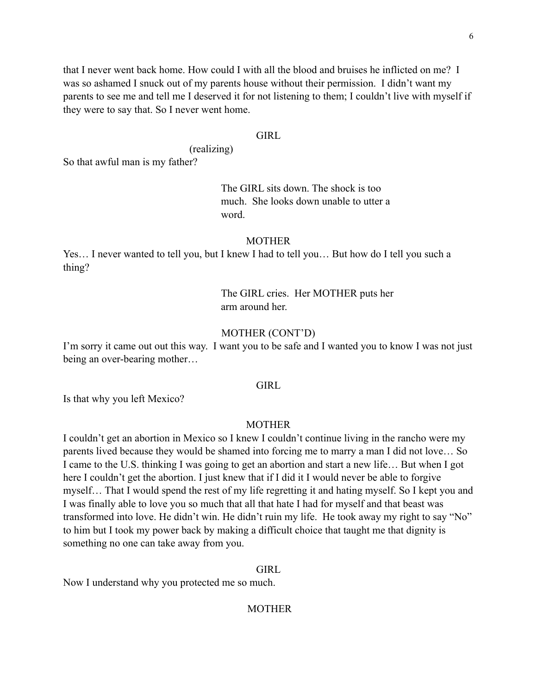6

that I never went back home. How could I with all the blood and bruises he inflicted on me? I was so ashamed I snuck out of my parents house without their permission. I didn't want my parents to see me and tell me I deserved it for not listening to them; I couldn't live with myself if they were to say that. So I never went home.

# **GIRL**

(realizing)

So that awful man is my father?

# The GIRL sits down. The shock is too much. She looks down unable to utter a word.

#### **MOTHER**

Yes… I never wanted to tell you, but I knew I had to tell you… But how do I tell you such a thing?

> The GIRL cries. Her MOTHER puts her arm around her.

# MOTHER (CONT'D)

I'm sorry it came out out this way. I want you to be safe and I wanted you to know I was not just being an over-bearing mother…

#### **GIRL**

Is that why you left Mexico?

#### MOTHER

I couldn't get an abortion in Mexico so I knew I couldn't continue living in the rancho were my parents lived because they would be shamed into forcing me to marry a man I did not love… So I came to the U.S. thinking I was going to get an abortion and start a new life… But when I got here I couldn't get the abortion. I just knew that if I did it I would never be able to forgive myself… That I would spend the rest of my life regretting it and hating myself. So I kept you and I was finally able to love you so much that all that hate I had for myself and that beast was transformed into love. He didn't win. He didn't ruin my life. He took away my right to say "No" to him but I took my power back by making a difficult choice that taught me that dignity is something no one can take away from you.

#### **GIRL**

Now I understand why you protected me so much.

#### **MOTHER**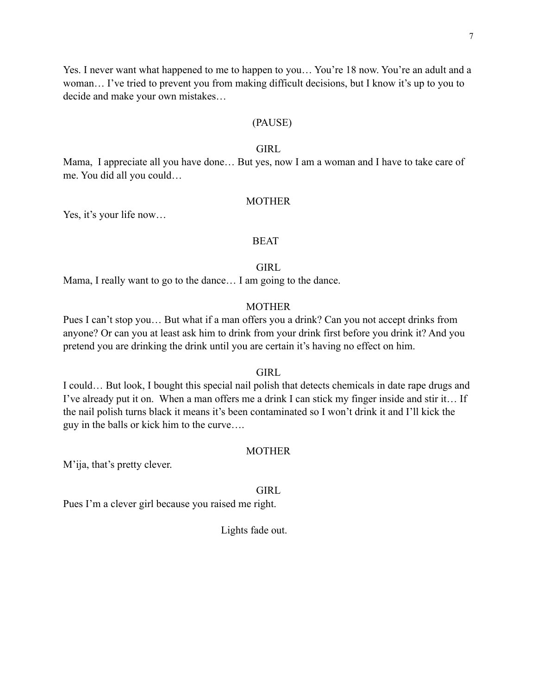Yes. I never want what happened to me to happen to you… You're 18 now. You're an adult and a woman… I've tried to prevent you from making difficult decisions, but I know it's up to you to decide and make your own mistakes…

#### (PAUSE)

#### GIRL

Mama, I appreciate all you have done… But yes, now I am a woman and I have to take care of me. You did all you could…

#### MOTHER

Yes, it's your life now…

#### **BEAT**

#### GIRL

Mama, I really want to go to the dance… I am going to the dance.

#### MOTHER

Pues I can't stop you... But what if a man offers you a drink? Can you not accept drinks from anyone? Or can you at least ask him to drink from your drink first before you drink it? And you pretend you are drinking the drink until you are certain it's having no effect on him.

#### **GIRL**

I could… But look, I bought this special nail polish that detects chemicals in date rape drugs and I've already put it on. When a man offers me a drink I can stick my finger inside and stir it… If the nail polish turns black it means it's been contaminated so I won't drink it and I'll kick the guy in the balls or kick him to the curve….

#### MOTHER

M'ija, that's pretty clever.

#### **GIRL**

Pues I'm a clever girl because you raised me right.

Lights fade out.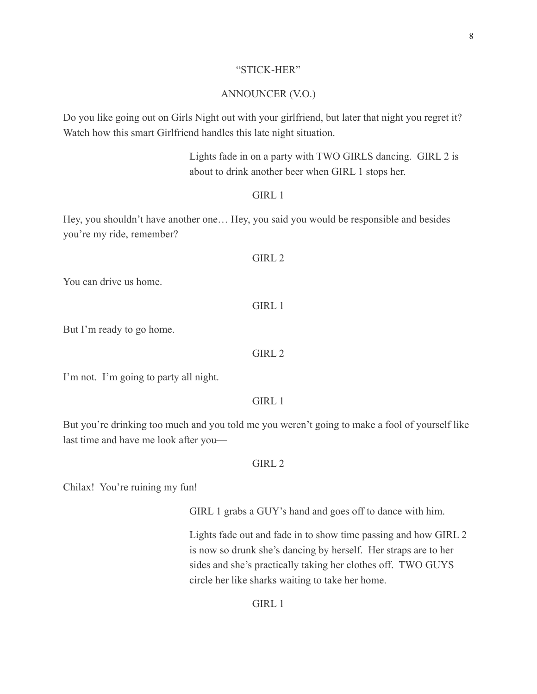#### "STICK-HER"

# ANNOUNCER (V.O.)

Do you like going out on Girls Night out with your girlfriend, but later that night you regret it? Watch how this smart Girlfriend handles this late night situation.

> Lights fade in on a party with TWO GIRLS dancing. GIRL 2 is about to drink another beer when GIRL 1 stops her.

#### GIRL 1

Hey, you shouldn't have another one… Hey, you said you would be responsible and besides you're my ride, remember?

You can drive us home.

GIRL<sub>1</sub>

But I'm ready to go home.

GIRL 2

I'm not. I'm going to party all night.

GIRL<sub>1</sub>

But you're drinking too much and you told me you weren't going to make a fool of yourself like last time and have me look after you—

#### GIRL 2

Chilax! You're ruining my fun!

GIRL 1 grabs a GUY's hand and goes off to dance with him.

Lights fade out and fade in to show time passing and how GIRL 2 is now so drunk she's dancing by herself. Her straps are to her sides and she's practically taking her clothes off. TWO GUYS circle her like sharks waiting to take her home.

#### GIRL 1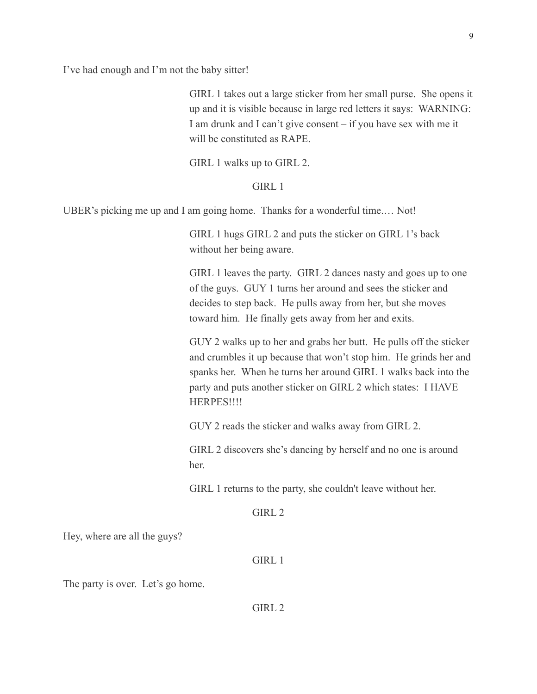I've had enough and I'm not the baby sitter!

GIRL 1 takes out a large sticker from her small purse. She opens it up and it is visible because in large red letters it says: WARNING: I am drunk and I can't give consent – if you have sex with me it will be constituted as RAPE.

GIRL 1 walks up to GIRL 2.

GIRL 1

UBER's picking me up and I am going home. Thanks for a wonderful time.… Not!

GIRL 1 hugs GIRL 2 and puts the sticker on GIRL 1's back without her being aware.

GIRL 1 leaves the party. GIRL 2 dances nasty and goes up to one of the guys. GUY 1 turns her around and sees the sticker and decides to step back. He pulls away from her, but she moves toward him. He finally gets away from her and exits.

GUY 2 walks up to her and grabs her butt. He pulls off the sticker and crumbles it up because that won't stop him. He grinds her and spanks her. When he turns her around GIRL 1 walks back into the party and puts another sticker on GIRL 2 which states: I HAVE **HERPES!!!!** 

GUY 2 reads the sticker and walks away from GIRL 2.

GIRL 2 discovers she's dancing by herself and no one is around her.

GIRL 1 returns to the party, she couldn't leave without her.

 $GIRL<sub>2</sub>$ 

Hey, where are all the guys?

GIRL 1

The party is over. Let's go home.

GIRL 2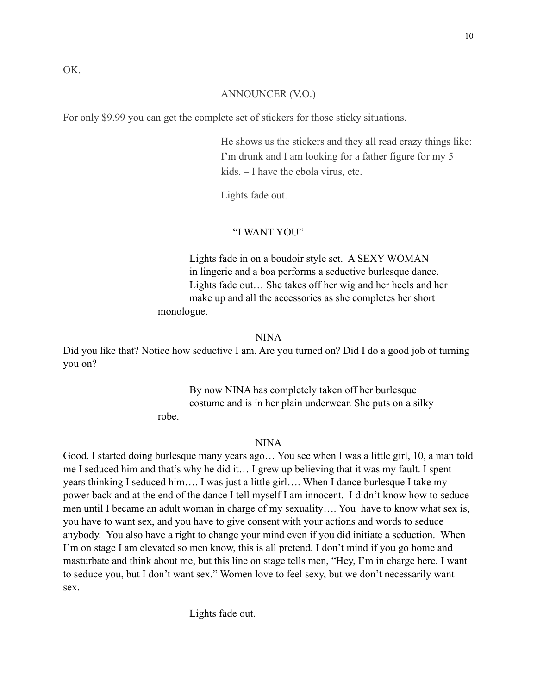#### ANNOUNCER (V.O.)

For only \$9.99 you can get the complete set of stickers for those sticky situations.

He shows us the stickers and they all read crazy things like: I'm drunk and I am looking for a father figure for my 5 kids. – I have the ebola virus, etc.

Lights fade out.

#### "I WANT YOU"

 Lights fade in on a boudoir style set. A SEXY WOMAN in lingerie and a boa performs a seductive burlesque dance. Lights fade out… She takes off her wig and her heels and her make up and all the accessories as she completes her short monologue.

#### NINA

Did you like that? Notice how seductive I am. Are you turned on? Did I do a good job of turning you on?

> By now NINA has completely taken off her burlesque costume and is in her plain underwear. She puts on a silky robe.

> > NINA

Good. I started doing burlesque many years ago… You see when I was a little girl, 10, a man told me I seduced him and that's why he did it… I grew up believing that it was my fault. I spent years thinking I seduced him…. I was just a little girl…. When I dance burlesque I take my power back and at the end of the dance I tell myself I am innocent. I didn't know how to seduce men until I became an adult woman in charge of my sexuality…. You have to know what sex is, you have to want sex, and you have to give consent with your actions and words to seduce anybody. You also have a right to change your mind even if you did initiate a seduction. When I'm on stage I am elevated so men know, this is all pretend. I don't mind if you go home and masturbate and think about me, but this line on stage tells men, "Hey, I'm in charge here. I want to seduce you, but I don't want sex." Women love to feel sexy, but we don't necessarily want sex.

Lights fade out.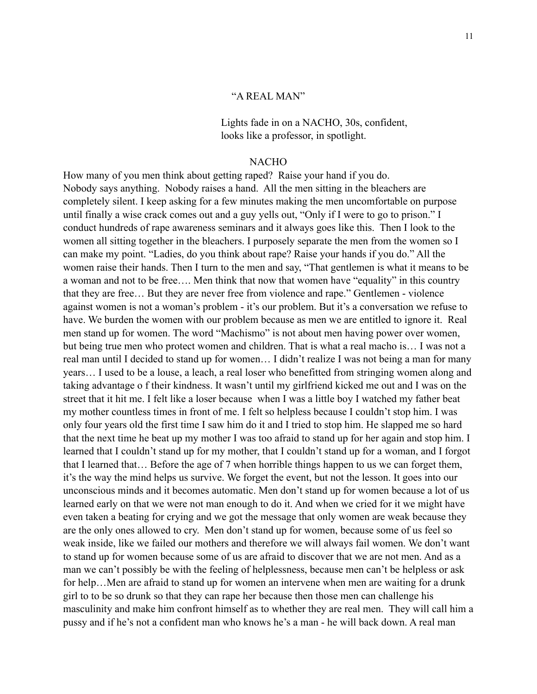# "A REAL MAN"

 Lights fade in on a NACHO, 30s, confident, looks like a professor, in spotlight.

#### NACHO

How many of you men think about getting raped? Raise your hand if you do. Nobody says anything. Nobody raises a hand. All the men sitting in the bleachers are completely silent. I keep asking for a few minutes making the men uncomfortable on purpose until finally a wise crack comes out and a guy yells out, "Only if I were to go to prison." I conduct hundreds of rape awareness seminars and it always goes like this. Then I look to the women all sitting together in the bleachers. I purposely separate the men from the women so I can make my point. "Ladies, do you think about rape? Raise your hands if you do." All the women raise their hands. Then I turn to the men and say, "That gentlemen is what it means to be a woman and not to be free…. Men think that now that women have "equality" in this country that they are free… But they are never free from violence and rape." Gentlemen - violence against women is not a woman's problem - it's our problem. But it's a conversation we refuse to have. We burden the women with our problem because as men we are entitled to ignore it. Real men stand up for women. The word "Machismo" is not about men having power over women, but being true men who protect women and children. That is what a real macho is… I was not a real man until I decided to stand up for women… I didn't realize I was not being a man for many years… I used to be a louse, a leach, a real loser who benefitted from stringing women along and taking advantage o f their kindness. It wasn't until my girlfriend kicked me out and I was on the street that it hit me. I felt like a loser because when I was a little boy I watched my father beat my mother countless times in front of me. I felt so helpless because I couldn't stop him. I was only four years old the first time I saw him do it and I tried to stop him. He slapped me so hard that the next time he beat up my mother I was too afraid to stand up for her again and stop him. I learned that I couldn't stand up for my mother, that I couldn't stand up for a woman, and I forgot that I learned that… Before the age of 7 when horrible things happen to us we can forget them, it's the way the mind helps us survive. We forget the event, but not the lesson. It goes into our unconscious minds and it becomes automatic. Men don't stand up for women because a lot of us learned early on that we were not man enough to do it. And when we cried for it we might have even taken a beating for crying and we got the message that only women are weak because they are the only ones allowed to cry. Men don't stand up for women, because some of us feel so weak inside, like we failed our mothers and therefore we will always fail women. We don't want to stand up for women because some of us are afraid to discover that we are not men. And as a man we can't possibly be with the feeling of helplessness, because men can't be helpless or ask for help…Men are afraid to stand up for women an intervene when men are waiting for a drunk girl to to be so drunk so that they can rape her because then those men can challenge his masculinity and make him confront himself as to whether they are real men. They will call him a pussy and if he's not a confident man who knows he's a man - he will back down. A real man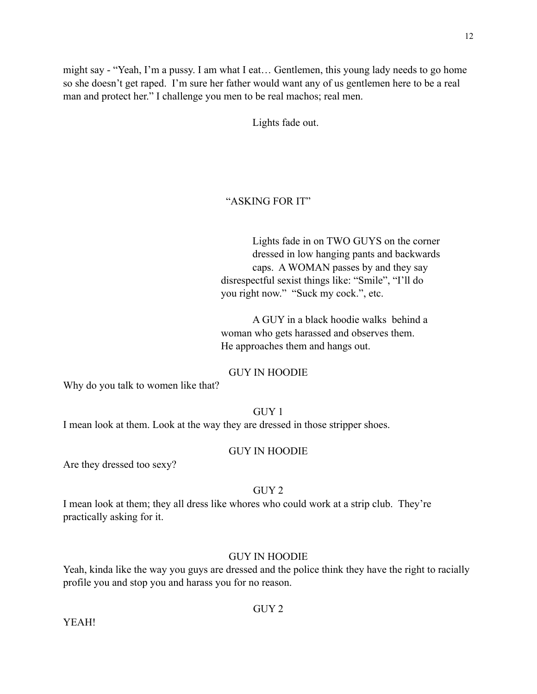might say - "Yeah, I'm a pussy. I am what I eat… Gentlemen, this young lady needs to go home so she doesn't get raped. I'm sure her father would want any of us gentlemen here to be a real man and protect her." I challenge you men to be real machos; real men.

Lights fade out.

#### "ASKING FOR IT"

 Lights fade in on TWO GUYS on the corner dressed in low hanging pants and backwards caps. A WOMAN passes by and they say disrespectful sexist things like: "Smile", "I'll do you right now." "Suck my cock.", etc.

 A GUY in a black hoodie walks behind a woman who gets harassed and observes them. He approaches them and hangs out.

#### GUY IN HOODIE

Why do you talk to women like that?

#### GUY 1

I mean look at them. Look at the way they are dressed in those stripper shoes.

#### GUY IN HOODIE

Are they dressed too sexy?

# GUY 2

I mean look at them; they all dress like whores who could work at a strip club. They're practically asking for it.

# GUY IN HOODIE

Yeah, kinda like the way you guys are dressed and the police think they have the right to racially profile you and stop you and harass you for no reason.

# GUY 2

YEAH!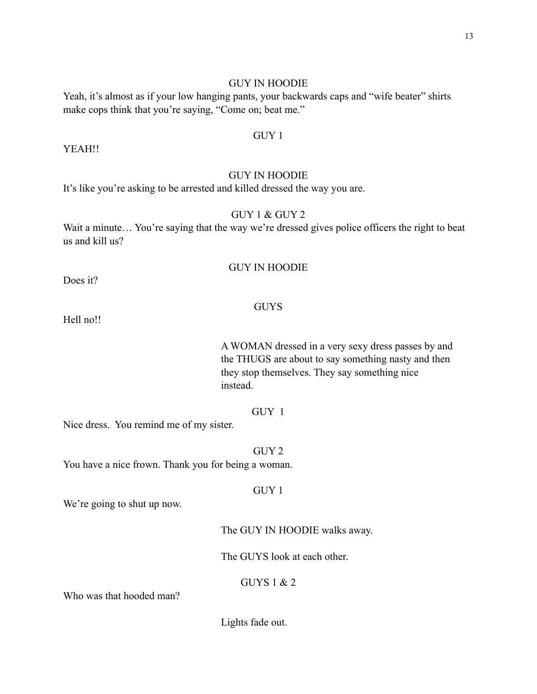## GUY IN HOODIE

Yeah, it's almost as if your low hanging pants, your backwards caps and "wife beater" shirts make cops think that you're saying, "Come on; beat me."

# GUY 1

YEAH!!

# GUY IN HOODIE

It's like you're asking to be arrested and killed dressed the way you are.

# GUY 1 & GUY 2

Wait a minute... You're saying that the way we're dressed gives police officers the right to beat us and kill us?

# GUY IN HOODIE

Does it?

#### GUYS

Hell no!!

 A WOMAN dressed in a very sexy dress passes by and the THUGS are about to say something nasty and then they stop themselves. They say something nice instead.

# GUY 1

Nice dress. You remind me of my sister.

#### GUY 2

You have a nice frown. Thank you for being a woman.

#### GUY 1

We're going to shut up now.

The GUY IN HOODIE walks away.

The GUYS look at each other.

# GUYS 1 & 2

Who was that hooded man?

Lights fade out.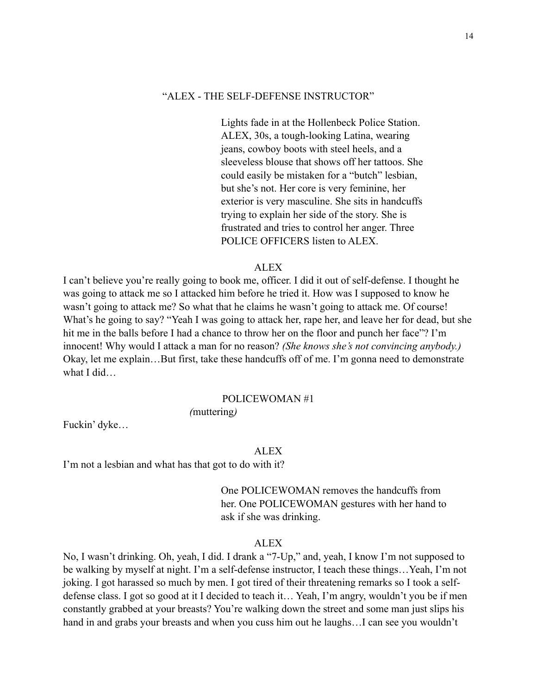# "ALEX - THE SELF-DEFENSE INSTRUCTOR"

 Lights fade in at the Hollenbeck Police Station. ALEX, 30s, a tough-looking Latina, wearing jeans, cowboy boots with steel heels, and a sleeveless blouse that shows off her tattoos. She could easily be mistaken for a "butch" lesbian, but she's not. Her core is very feminine, her exterior is very masculine. She sits in handcuffs trying to explain her side of the story. She is frustrated and tries to control her anger. Three POLICE OFFICERS listen to ALEX.

#### **ALEX**

I can't believe you're really going to book me, officer. I did it out of self-defense. I thought he was going to attack me so I attacked him before he tried it. How was I supposed to know he wasn't going to attack me? So what that he claims he wasn't going to attack me. Of course! What's he going to say? "Yeah I was going to attack her, rape her, and leave her for dead, but she hit me in the balls before I had a chance to throw her on the floor and punch her face"? I'm innocent! Why would I attack a man for no reason? *(She knows she's not convincing anybody.)*  Okay, let me explain…But first, take these handcuffs off of me. I'm gonna need to demonstrate what I did…

#### POLICEWOMAN #1

*(*muttering*)*

Fuckin' dyke…

#### ALEX

I'm not a lesbian and what has that got to do with it?

 One POLICEWOMAN removes the handcuffs from her. One POLICEWOMAN gestures with her hand to ask if she was drinking.

#### ALEX

No, I wasn't drinking. Oh, yeah, I did. I drank a "7-Up," and, yeah, I know I'm not supposed to be walking by myself at night. I'm a self-defense instructor, I teach these things…Yeah, I'm not joking. I got harassed so much by men. I got tired of their threatening remarks so I took a selfdefense class. I got so good at it I decided to teach it… Yeah, I'm angry, wouldn't you be if men constantly grabbed at your breasts? You're walking down the street and some man just slips his hand in and grabs your breasts and when you cuss him out he laughs...I can see you wouldn't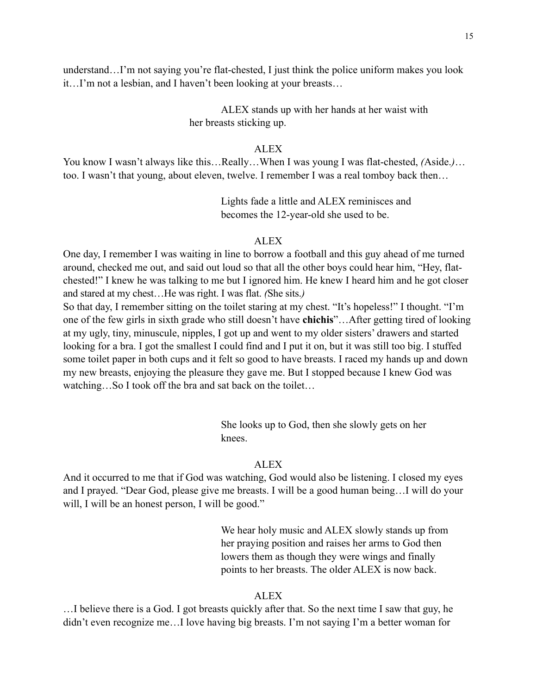understand…I'm not saying you're flat-chested, I just think the police uniform makes you look it…I'm not a lesbian, and I haven't been looking at your breasts…

> ALEX stands up with her hands at her waist with her breasts sticking up.

#### ALEX

You know I wasn't always like this…Really…When I was young I was flat-chested, *(*Aside.*)*… too. I wasn't that young, about eleven, twelve. I remember I was a real tomboy back then…

> Lights fade a little and ALEX reminisces and becomes the 12-year-old she used to be.

# ALEX

One day, I remember I was waiting in line to borrow a football and this guy ahead of me turned around, checked me out, and said out loud so that all the other boys could hear him, "Hey, flatchested!" I knew he was talking to me but I ignored him. He knew I heard him and he got closer and stared at my chest…He was right. I was flat. *(*She sits.*)*

So that day, I remember sitting on the toilet staring at my chest. "It's hopeless!" I thought. "I'm one of the few girls in sixth grade who still doesn't have **chichis**"…After getting tired of looking at my ugly, tiny, minuscule, nipples, I got up and went to my older sisters' drawers and started looking for a bra. I got the smallest I could find and I put it on, but it was still too big. I stuffed some toilet paper in both cups and it felt so good to have breasts. I raced my hands up and down my new breasts, enjoying the pleasure they gave me. But I stopped because I knew God was watching…So I took off the bra and sat back on the toilet…

> She looks up to God, then she slowly gets on her knees.

# **ALEX**

And it occurred to me that if God was watching, God would also be listening. I closed my eyes and I prayed. "Dear God, please give me breasts. I will be a good human being…I will do your will, I will be an honest person, I will be good."

> We hear holy music and ALEX slowly stands up from her praying position and raises her arms to God then lowers them as though they were wings and finally points to her breasts. The older ALEX is now back.

#### ALEX

…I believe there is a God. I got breasts quickly after that. So the next time I saw that guy, he didn't even recognize me…I love having big breasts. I'm not saying I'm a better woman for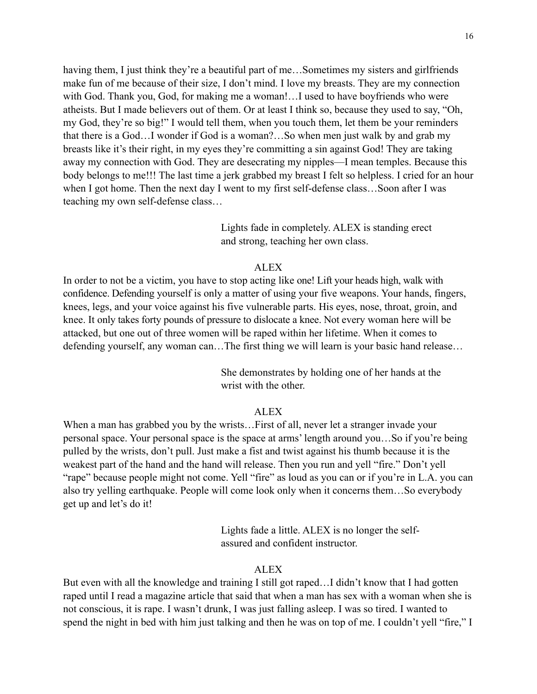having them, I just think they're a beautiful part of me...Sometimes my sisters and girlfriends make fun of me because of their size, I don't mind. I love my breasts. They are my connection with God. Thank you, God, for making me a woman!…I used to have boyfriends who were atheists. But I made believers out of them. Or at least I think so, because they used to say, "Oh, my God, they're so big!" I would tell them, when you touch them, let them be your reminders that there is a God…I wonder if God is a woman?…So when men just walk by and grab my breasts like it's their right, in my eyes they're committing a sin against God! They are taking away my connection with God. They are desecrating my nipples—I mean temples. Because this body belongs to me!!! The last time a jerk grabbed my breast I felt so helpless. I cried for an hour when I got home. Then the next day I went to my first self-defense class…Soon after I was teaching my own self-defense class…

> Lights fade in completely. ALEX is standing erect and strong, teaching her own class.

# **ALEX**

In order to not be a victim, you have to stop acting like one! Lift your heads high, walk with confidence. Defending yourself is only a matter of using your five weapons. Your hands, fingers, knees, legs, and your voice against his five vulnerable parts. His eyes, nose, throat, groin, and knee. It only takes forty pounds of pressure to dislocate a knee. Not every woman here will be attacked, but one out of three women will be raped within her lifetime. When it comes to defending yourself, any woman can…The first thing we will learn is your basic hand release…

> She demonstrates by holding one of her hands at the wrist with the other.

#### **ALEX**

When a man has grabbed you by the wrists... First of all, never let a stranger invade your personal space. Your personal space is the space at arms' length around you…So if you're being pulled by the wrists, don't pull. Just make a fist and twist against his thumb because it is the weakest part of the hand and the hand will release. Then you run and yell "fire." Don't yell "rape" because people might not come. Yell "fire" as loud as you can or if you're in L.A. you can also try yelling earthquake. People will come look only when it concerns them…So everybody get up and let's do it!

> Lights fade a little. ALEX is no longer the self assured and confident instructor.

#### ALEX

But even with all the knowledge and training I still got raped...I didn't know that I had gotten raped until I read a magazine article that said that when a man has sex with a woman when she is not conscious, it is rape. I wasn't drunk, I was just falling asleep. I was so tired. I wanted to spend the night in bed with him just talking and then he was on top of me. I couldn't yell "fire," I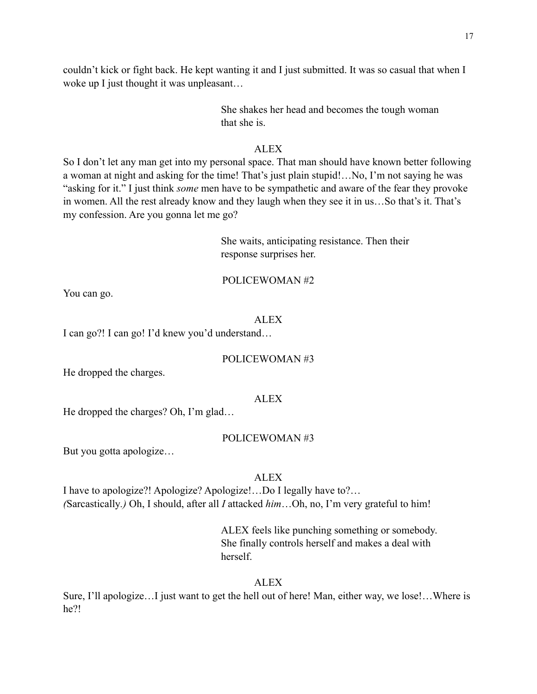couldn't kick or fight back. He kept wanting it and I just submitted. It was so casual that when I woke up I just thought it was unpleasant...

> She shakes her head and becomes the tough woman that she is.

# ALEX

So I don't let any man get into my personal space. That man should have known better following a woman at night and asking for the time! That's just plain stupid!…No, I'm not saying he was "asking for it." I just think *some* men have to be sympathetic and aware of the fear they provoke in women. All the rest already know and they laugh when they see it in us…So that's it. That's my confession. Are you gonna let me go?

> She waits, anticipating resistance. Then their response surprises her.

# POLICEWOMAN #2

You can go.

# ALEX

I can go?! I can go! I'd knew you'd understand…

# POLICEWOMAN #3

He dropped the charges.

# ALEX

He dropped the charges? Oh, I'm glad…

# POLICEWOMAN #3

But you gotta apologize…

# ALEX

I have to apologize?! Apologize? Apologize!…Do I legally have to?… *(*Sarcastically*.)* Oh, I should, after all *I* attacked *him*…Oh, no, I'm very grateful to him!

> ALEX feels like punching something or somebody. She finally controls herself and makes a deal with herself.

# ALEX

Sure, I'll apologize…I just want to get the hell out of here! Man, either way, we lose!…Where is he?!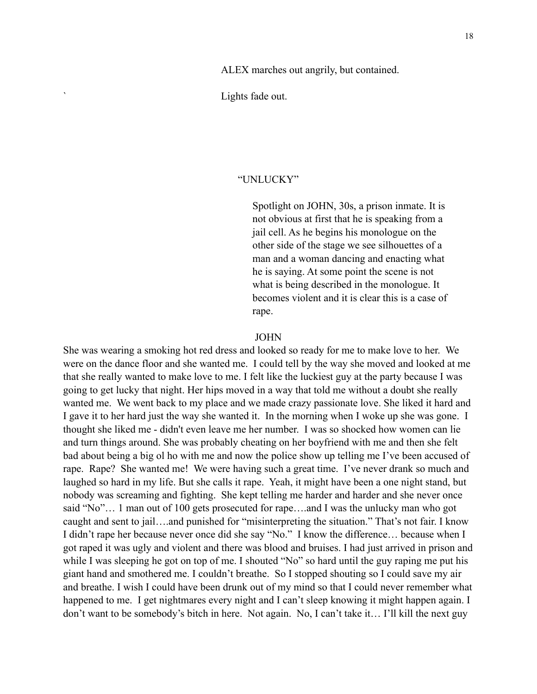Lights fade out.

# "UNLUCKY"

 Spotlight on JOHN, 30s, a prison inmate. It is not obvious at first that he is speaking from a jail cell. As he begins his monologue on the other side of the stage we see silhouettes of a man and a woman dancing and enacting what he is saying. At some point the scene is not what is being described in the monologue. It becomes violent and it is clear this is a case of rape.

#### JOHN

She was wearing a smoking hot red dress and looked so ready for me to make love to her. We were on the dance floor and she wanted me. I could tell by the way she moved and looked at me that she really wanted to make love to me. I felt like the luckiest guy at the party because I was going to get lucky that night. Her hips moved in a way that told me without a doubt she really wanted me. We went back to my place and we made crazy passionate love. She liked it hard and I gave it to her hard just the way she wanted it. In the morning when I woke up she was gone. I thought she liked me - didn't even leave me her number. I was so shocked how women can lie and turn things around. She was probably cheating on her boyfriend with me and then she felt bad about being a big ol ho with me and now the police show up telling me I've been accused of rape. Rape? She wanted me! We were having such a great time. I've never drank so much and laughed so hard in my life. But she calls it rape. Yeah, it might have been a one night stand, but nobody was screaming and fighting. She kept telling me harder and harder and she never once said "No"… 1 man out of 100 gets prosecuted for rape….and I was the unlucky man who got caught and sent to jail….and punished for "misinterpreting the situation." That's not fair. I know I didn't rape her because never once did she say "No." I know the difference… because when I got raped it was ugly and violent and there was blood and bruises. I had just arrived in prison and while I was sleeping he got on top of me. I shouted "No" so hard until the guy raping me put his giant hand and smothered me. I couldn't breathe. So I stopped shouting so I could save my air and breathe. I wish I could have been drunk out of my mind so that I could never remember what happened to me. I get nightmares every night and I can't sleep knowing it might happen again. I don't want to be somebody's bitch in here. Not again. No, I can't take it… I'll kill the next guy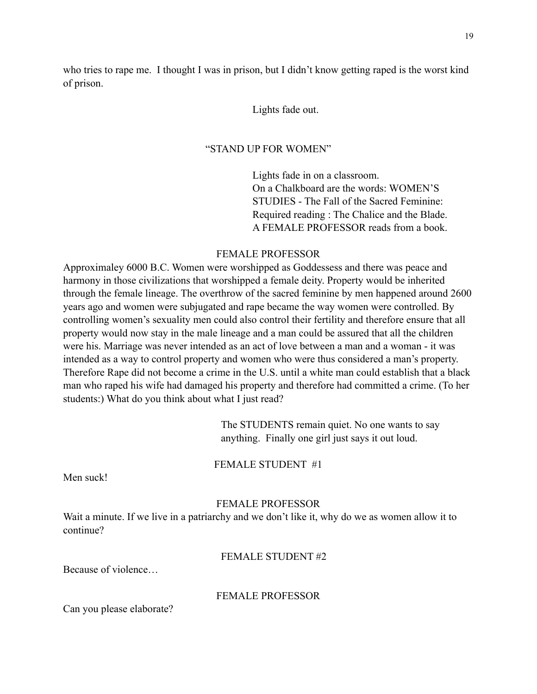who tries to rape me. I thought I was in prison, but I didn't know getting raped is the worst kind of prison.

#### Lights fade out.

#### "STAND UP FOR WOMEN"

 Lights fade in on a classroom. On a Chalkboard are the words: WOMEN'S STUDIES - The Fall of the Sacred Feminine: Required reading : The Chalice and the Blade. A FEMALE PROFESSOR reads from a book.

# FEMALE PROFESSOR

Approximaley 6000 B.C. Women were worshipped as Goddessess and there was peace and harmony in those civilizations that worshipped a female deity. Property would be inherited through the female lineage. The overthrow of the sacred feminine by men happened around 2600 years ago and women were subjugated and rape became the way women were controlled. By controlling women's sexuality men could also control their fertility and therefore ensure that all property would now stay in the male lineage and a man could be assured that all the children were his. Marriage was never intended as an act of love between a man and a woman - it was intended as a way to control property and women who were thus considered a man's property. Therefore Rape did not become a crime in the U.S. until a white man could establish that a black man who raped his wife had damaged his property and therefore had committed a crime. (To her students:) What do you think about what I just read?

> The STUDENTS remain quiet. No one wants to say anything. Finally one girl just says it out loud.

FEMALE STUDENT #1

Men suck!

# FEMALE PROFESSOR

Wait a minute. If we live in a patriarchy and we don't like it, why do we as women allow it to continue?

FEMALE STUDENT #2

Because of violence…

#### FEMALE PROFESSOR

Can you please elaborate?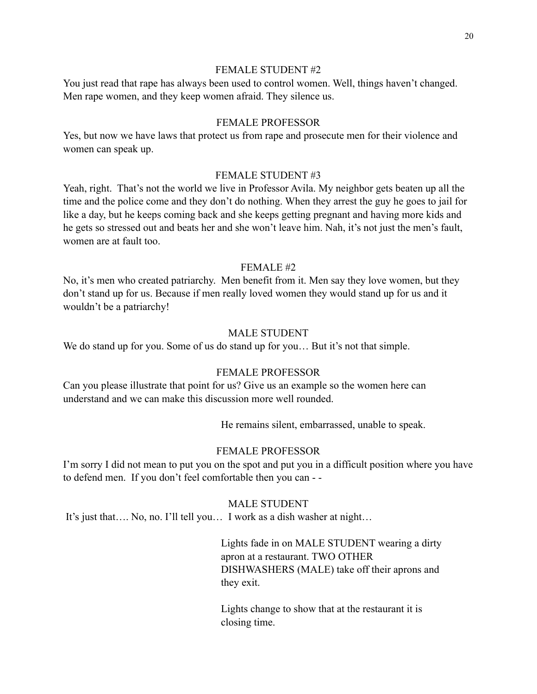# FEMALE STUDENT #2

You just read that rape has always been used to control women. Well, things haven't changed. Men rape women, and they keep women afraid. They silence us.

#### FEMALE PROFESSOR

Yes, but now we have laws that protect us from rape and prosecute men for their violence and women can speak up.

#### FEMALE STUDENT #3

Yeah, right. That's not the world we live in Professor Avila. My neighbor gets beaten up all the time and the police come and they don't do nothing. When they arrest the guy he goes to jail for like a day, but he keeps coming back and she keeps getting pregnant and having more kids and he gets so stressed out and beats her and she won't leave him. Nah, it's not just the men's fault, women are at fault too.

# FEMALE #2

No, it's men who created patriarchy. Men benefit from it. Men say they love women, but they don't stand up for us. Because if men really loved women they would stand up for us and it wouldn't be a patriarchy!

# MALE STUDENT

We do stand up for you. Some of us do stand up for you... But it's not that simple.

# FEMALE PROFESSOR

Can you please illustrate that point for us? Give us an example so the women here can understand and we can make this discussion more well rounded.

He remains silent, embarrassed, unable to speak.

#### FEMALE PROFESSOR

I'm sorry I did not mean to put you on the spot and put you in a difficult position where you have to defend men. If you don't feel comfortable then you can - -

#### MALE STUDENT

It's just that…. No, no. I'll tell you… I work as a dish washer at night…

 Lights fade in on MALE STUDENT wearing a dirty apron at a restaurant. TWO OTHER DISHWASHERS (MALE) take off their aprons and they exit.

 Lights change to show that at the restaurant it is closing time.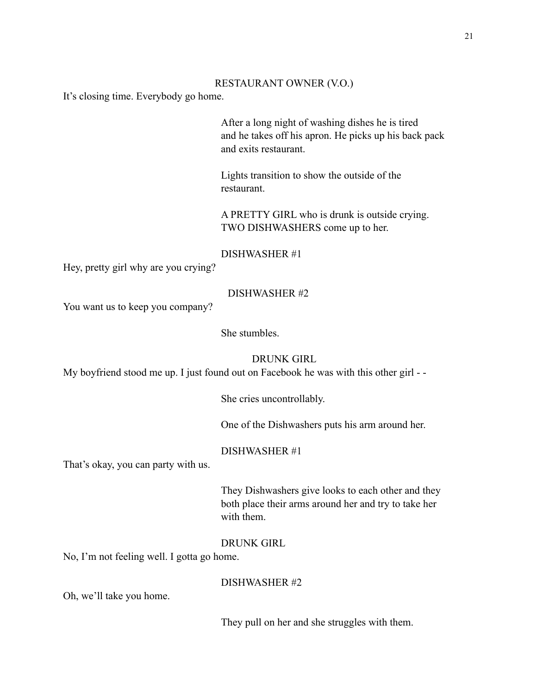#### RESTAURANT OWNER (V.O.)

It's closing time. Everybody go home.

 After a long night of washing dishes he is tired and he takes off his apron. He picks up his back pack and exits restaurant.

 Lights transition to show the outside of the restaurant.

 A PRETTY GIRL who is drunk is outside crying. TWO DISHWASHERS come up to her.

#### DISHWASHER #1

Hey, pretty girl why are you crying?

## DISHWASHER #2

You want us to keep you company?

She stumbles.

DRUNK GIRL

My boyfriend stood me up. I just found out on Facebook he was with this other girl - -

She cries uncontrollably.

One of the Dishwashers puts his arm around her.

#### DISHWASHER #1

That's okay, you can party with us.

 They Dishwashers give looks to each other and they both place their arms around her and try to take her with them.

# DRUNK GIRL

No, I'm not feeling well. I gotta go home.

#### DISHWASHER #2

Oh, we'll take you home.

They pull on her and she struggles with them.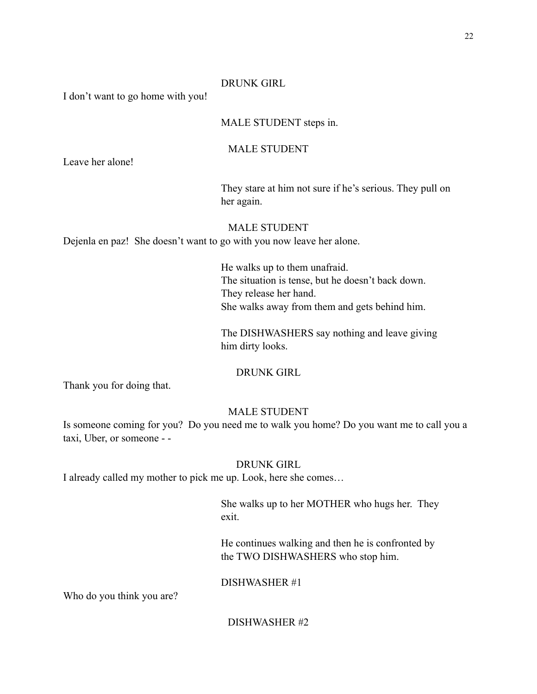#### DRUNK GIRL

I don't want to go home with you!

# MALE STUDENT steps in.

# MALE STUDENT

Leave her alone!

 They stare at him not sure if he's serious. They pull on her again.

# MALE STUDENT

Dejenla en paz! She doesn't want to go with you now leave her alone.

 He walks up to them unafraid. The situation is tense, but he doesn't back down. They release her hand. She walks away from them and gets behind him.

 The DISHWASHERS say nothing and leave giving him dirty looks.

# DRUNK GIRL

Thank you for doing that.

#### MALE STUDENT

Is someone coming for you? Do you need me to walk you home? Do you want me to call you a taxi, Uber, or someone - -

# DRUNK GIRL

I already called my mother to pick me up. Look, here she comes…

 She walks up to her MOTHER who hugs her. They exit.

> He continues walking and then he is confronted by the TWO DISHWASHERS who stop him.

# DISHWASHER #1

Who do you think you are?

# DISHWASHER #2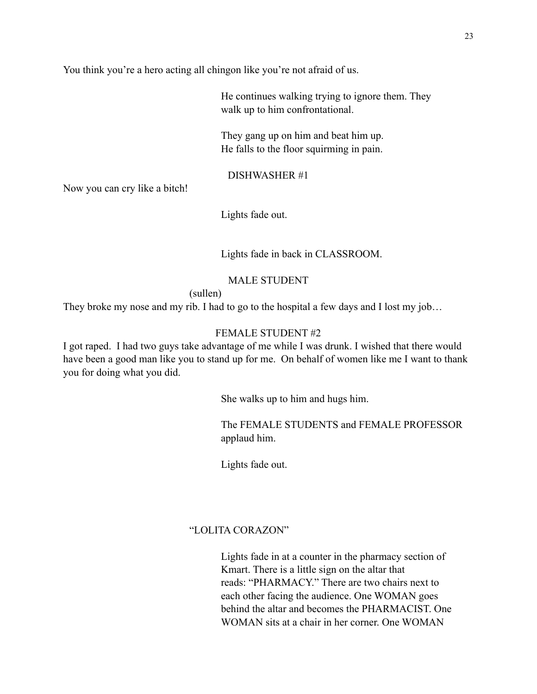You think you're a hero acting all chingon like you're not afraid of us.

 He continues walking trying to ignore them. They walk up to him confrontational.

 They gang up on him and beat him up. He falls to the floor squirming in pain.

# DISHWASHER #1

Now you can cry like a bitch!

Lights fade out.

Lights fade in back in CLASSROOM.

# MALE STUDENT

(sullen)

They broke my nose and my rib. I had to go to the hospital a few days and I lost my job…

# FEMALE STUDENT #2

I got raped. I had two guys take advantage of me while I was drunk. I wished that there would have been a good man like you to stand up for me. On behalf of women like me I want to thank you for doing what you did.

She walks up to him and hugs him.

 The FEMALE STUDENTS and FEMALE PROFESSOR applaud him.

Lights fade out.

# "LOLITA CORAZON"

 Lights fade in at a counter in the pharmacy section of Kmart. There is a little sign on the altar that reads: "PHARMACY." There are two chairs next to each other facing the audience. One WOMAN goes behind the altar and becomes the PHARMACIST. One WOMAN sits at a chair in her corner. One WOMAN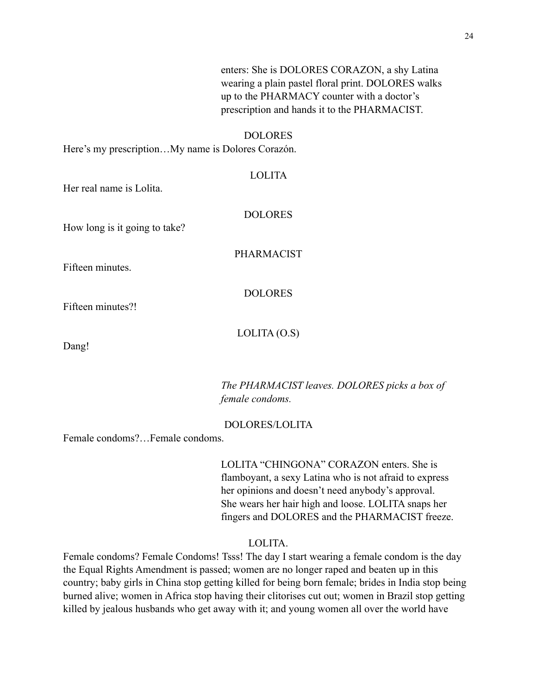enters: She is DOLORES CORAZON, a shy Latina wearing a plain pastel floral print. DOLORES walks up to the PHARMACY counter with a doctor's prescription and hands it to the PHARMACIST. DOLORES Here's my prescription…My name is Dolores Corazón. LOLITA Her real name is Lolita. DOLORES How long is it going to take? PHARMACIST

Fifteen minutes.

DOLORES

Fifteen minutes?!

 $LOLITA(0.S)$ 

Dang!

 *The PHARMACIST leaves. DOLORES picks a box of female condoms.*

#### DOLORES/LOLITA

Female condoms?…Female condoms.

 LOLITA "CHINGONA" CORAZON enters. She is flamboyant, a sexy Latina who is not afraid to express her opinions and doesn't need anybody's approval. She wears her hair high and loose. LOLITA snaps her fingers and DOLORES and the PHARMACIST freeze.

# LOLITA.

Female condoms? Female Condoms! Tsss! The day I start wearing a female condom is the day the Equal Rights Amendment is passed; women are no longer raped and beaten up in this country; baby girls in China stop getting killed for being born female; brides in India stop being burned alive; women in Africa stop having their clitorises cut out; women in Brazil stop getting killed by jealous husbands who get away with it; and young women all over the world have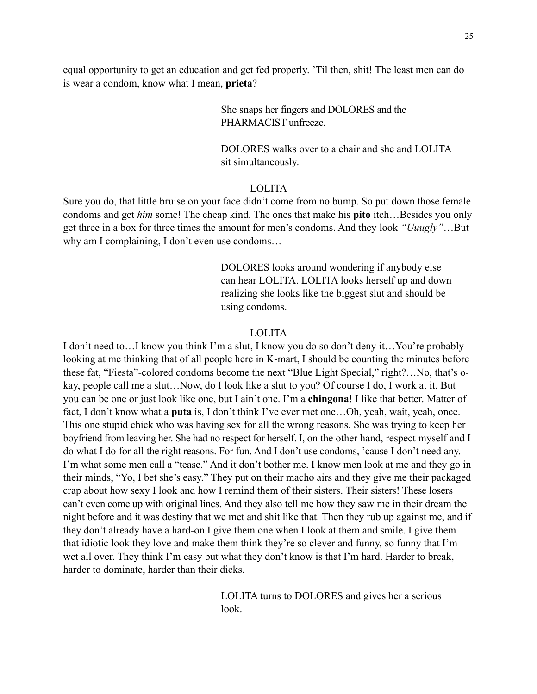equal opportunity to get an education and get fed properly. 'Til then, shit! The least men can do is wear a condom, know what I mean, **prieta**?

> She snaps her fingers and DOLORES and the PHARMACIST unfreeze.

 DOLORES walks over to a chair and she and LOLITA sit simultaneously.

# LOLITA

Sure you do, that little bruise on your face didn't come from no bump. So put down those female condoms and get *him* some! The cheap kind. The ones that make his **pito** itch…Besides you only get three in a box for three times the amount for men's condoms. And they look *"Uuugly"*…But why am I complaining, I don't even use condoms…

> DOLORES looks around wondering if anybody else can hear LOLITA. LOLITA looks herself up and down realizing she looks like the biggest slut and should be using condoms.

# LOLITA

I don't need to…I know you think I'm a slut, I know you do so don't deny it…You're probably looking at me thinking that of all people here in K-mart, I should be counting the minutes before these fat, "Fiesta"-colored condoms become the next "Blue Light Special," right?…No, that's okay, people call me a slut…Now, do I look like a slut to you? Of course I do, I work at it. But you can be one or just look like one, but I ain't one. I'm a **chingona**! I like that better. Matter of fact, I don't know what a **puta** is, I don't think I've ever met one…Oh, yeah, wait, yeah, once. This one stupid chick who was having sex for all the wrong reasons. She was trying to keep her boyfriend from leaving her. She had no respect for herself. I, on the other hand, respect myself and I do what I do for all the right reasons. For fun. And I don't use condoms, 'cause I don't need any. I'm what some men call a "tease." And it don't bother me. I know men look at me and they go in their minds, "Yo, I bet she's easy." They put on their macho airs and they give me their packaged crap about how sexy I look and how I remind them of their sisters. Their sisters! These losers can't even come up with original lines. And they also tell me how they saw me in their dream the night before and it was destiny that we met and shit like that. Then they rub up against me, and if they don't already have a hard-on I give them one when I look at them and smile. I give them that idiotic look they love and make them think they're so clever and funny, so funny that I'm wet all over. They think I'm easy but what they don't know is that I'm hard. Harder to break, harder to dominate, harder than their dicks.

 LOLITA turns to DOLORES and gives her a serious look.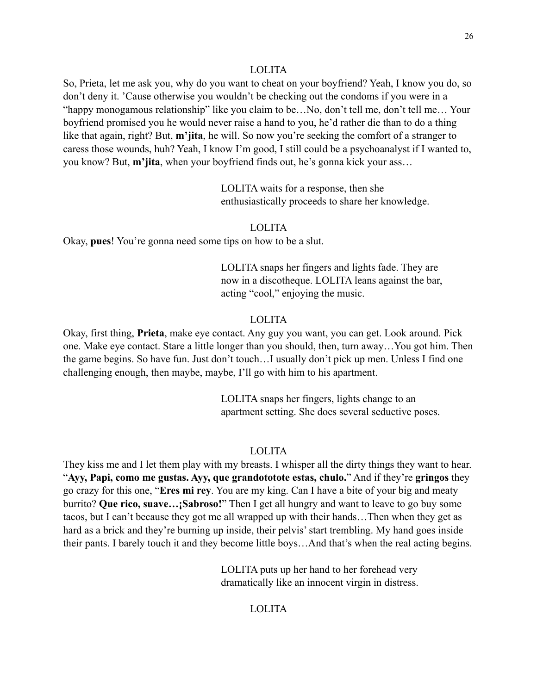#### LOLITA

So, Prieta, let me ask you, why do you want to cheat on your boyfriend? Yeah, I know you do, so don't deny it. 'Cause otherwise you wouldn't be checking out the condoms if you were in a "happy monogamous relationship" like you claim to be…No, don't tell me, don't tell me… Your boyfriend promised you he would never raise a hand to you, he'd rather die than to do a thing like that again, right? But, **m'jita**, he will. So now you're seeking the comfort of a stranger to caress those wounds, huh? Yeah, I know I'm good, I still could be a psychoanalyst if I wanted to, you know? But, **m'jita**, when your boyfriend finds out, he's gonna kick your ass…

> LOLITA waits for a response, then she enthusiastically proceeds to share her knowledge.

#### LOLITA

Okay, **pues**! You're gonna need some tips on how to be a slut.

 LOLITA snaps her fingers and lights fade. They are now in a discotheque. LOLITA leans against the bar, acting "cool," enjoying the music.

# LOLITA

Okay, first thing, **Prieta**, make eye contact. Any guy you want, you can get. Look around. Pick one. Make eye contact. Stare a little longer than you should, then, turn away…You got him. Then the game begins. So have fun. Just don't touch…I usually don't pick up men. Unless I find one challenging enough, then maybe, maybe, I'll go with him to his apartment.

> LOLITA snaps her fingers, lights change to an apartment setting. She does several seductive poses.

#### LOLITA

They kiss me and I let them play with my breasts. I whisper all the dirty things they want to hear. "**Ayy, Papi, como me gustas. Ayy, que grandototote estas, chulo.**" And if they're **gringos** they go crazy for this one, "**Eres mi rey**. You are my king. Can I have a bite of your big and meaty burrito? **Que rico, suave…¡Sabroso!**" Then I get all hungry and want to leave to go buy some tacos, but I can't because they got me all wrapped up with their hands…Then when they get as hard as a brick and they're burning up inside, their pelvis' start trembling. My hand goes inside their pants. I barely touch it and they become little boys…And that's when the real acting begins.

> LOLITA puts up her hand to her forehead very dramatically like an innocent virgin in distress.

# LOLITA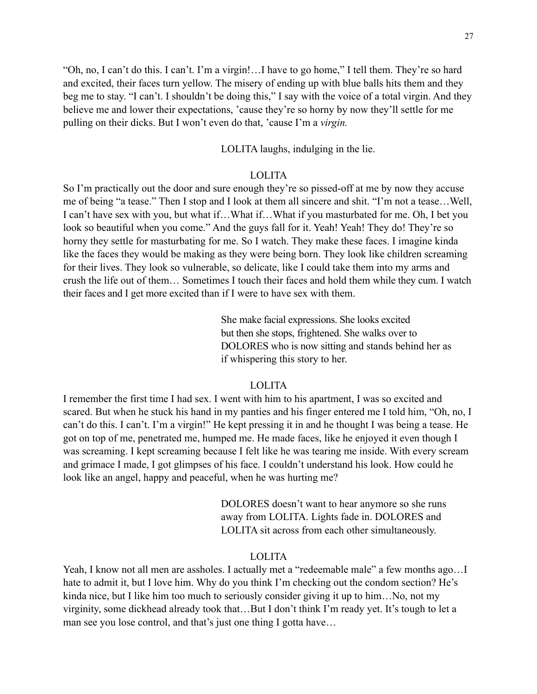"Oh, no, I can't do this. I can't. I'm a virgin!…I have to go home," I tell them. They're so hard and excited, their faces turn yellow. The misery of ending up with blue balls hits them and they beg me to stay. "I can't. I shouldn't be doing this," I say with the voice of a total virgin. And they believe me and lower their expectations, 'cause they're so horny by now they'll settle for me pulling on their dicks. But I won't even do that, 'cause I'm a *virgin.*

LOLITA laughs, indulging in the lie.

# LOLITA

So I'm practically out the door and sure enough they're so pissed-off at me by now they accuse me of being "a tease." Then I stop and I look at them all sincere and shit. "I'm not a tease…Well, I can't have sex with you, but what if…What if…What if you masturbated for me. Oh, I bet you look so beautiful when you come." And the guys fall for it. Yeah! Yeah! They do! They're so horny they settle for masturbating for me. So I watch. They make these faces. I imagine kinda like the faces they would be making as they were being born. They look like children screaming for their lives. They look so vulnerable, so delicate, like I could take them into my arms and crush the life out of them… Sometimes I touch their faces and hold them while they cum. I watch their faces and I get more excited than if I were to have sex with them.

> She make facial expressions. She looks excited but then she stops, frightened. She walks over to DOLORES who is now sitting and stands behind her as if whispering this story to her.

# LOLITA

I remember the first time I had sex. I went with him to his apartment, I was so excited and scared. But when he stuck his hand in my panties and his finger entered me I told him, "Oh, no, I can't do this. I can't. I'm a virgin!" He kept pressing it in and he thought I was being a tease. He got on top of me, penetrated me, humped me. He made faces, like he enjoyed it even though I was screaming. I kept screaming because I felt like he was tearing me inside. With every scream and grimace I made, I got glimpses of his face. I couldn't understand his look. How could he look like an angel, happy and peaceful, when he was hurting me?

> DOLORES doesn't want to hear anymore so she runs away from LOLITA. Lights fade in. DOLORES and LOLITA sit across from each other simultaneously.

# LOLITA

Yeah, I know not all men are assholes. I actually met a "redeemable male" a few months ago...I hate to admit it, but I love him. Why do you think I'm checking out the condom section? He's kinda nice, but I like him too much to seriously consider giving it up to him...No, not my virginity, some dickhead already took that…But I don't think I'm ready yet. It's tough to let a man see you lose control, and that's just one thing I gotta have...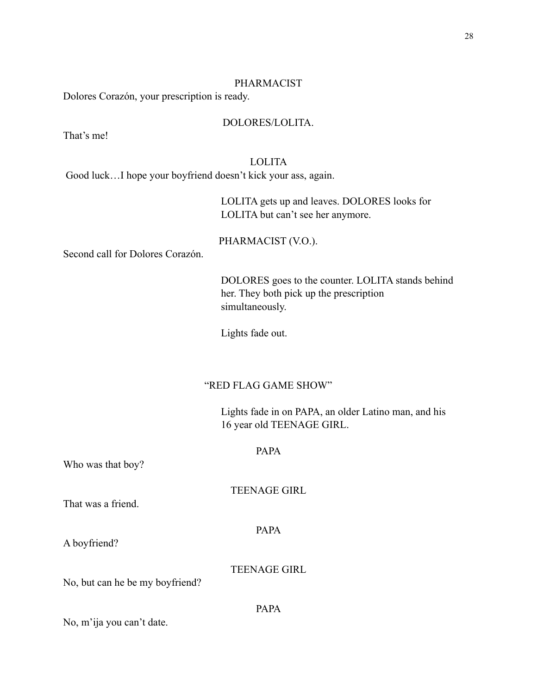#### PHARMACIST

Dolores Corazón, your prescription is ready.

#### DOLORES/LOLITA.

That's me!

# LOLITA

Good luck…I hope your boyfriend doesn't kick your ass, again.

 LOLITA gets up and leaves. DOLORES looks for LOLITA but can't see her anymore.

#### PHARMACIST (V.O.).

Second call for Dolores Corazón.

 DOLORES goes to the counter. LOLITA stands behind her. They both pick up the prescription simultaneously.

Lights fade out.

#### "RED FLAG GAME SHOW"

 Lights fade in on PAPA, an older Latino man, and his 16 year old TEENAGE GIRL.

#### PAPA

Who was that boy?

TEENAGE GIRL

That was a friend.

PAPA

A boyfriend?

TEENAGE GIRL

PAPA

No, but can he be my boyfriend?

No, m'ija you can't date.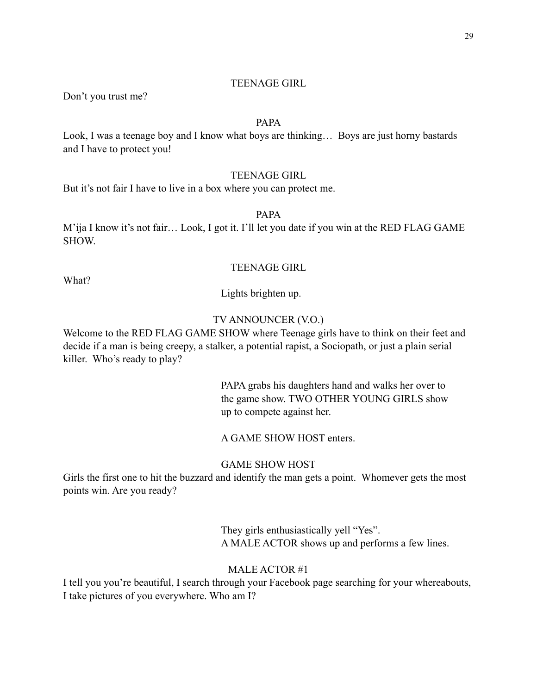#### TEENAGE GIRL

Don't you trust me?

# PAPA

Look, I was a teenage boy and I know what boys are thinking… Boys are just horny bastards and I have to protect you!

# TEENAGE GIRL

But it's not fair I have to live in a box where you can protect me.

PAPA

M'ija I know it's not fair… Look, I got it. I'll let you date if you win at the RED FLAG GAME SHOW.

#### TEENAGE GIRL

What?

Lights brighten up.

# TV ANNOUNCER (V.O.)

Welcome to the RED FLAG GAME SHOW where Teenage girls have to think on their feet and decide if a man is being creepy, a stalker, a potential rapist, a Sociopath, or just a plain serial killer. Who's ready to play?

> PAPA grabs his daughters hand and walks her over to the game show. TWO OTHER YOUNG GIRLS show up to compete against her.

# A GAME SHOW HOST enters.

# GAME SHOW HOST

Girls the first one to hit the buzzard and identify the man gets a point. Whomever gets the most points win. Are you ready?

> They girls enthusiastically yell "Yes". A MALE ACTOR shows up and performs a few lines.

#### MALE ACTOR #1

I tell you you're beautiful, I search through your Facebook page searching for your whereabouts, I take pictures of you everywhere. Who am I?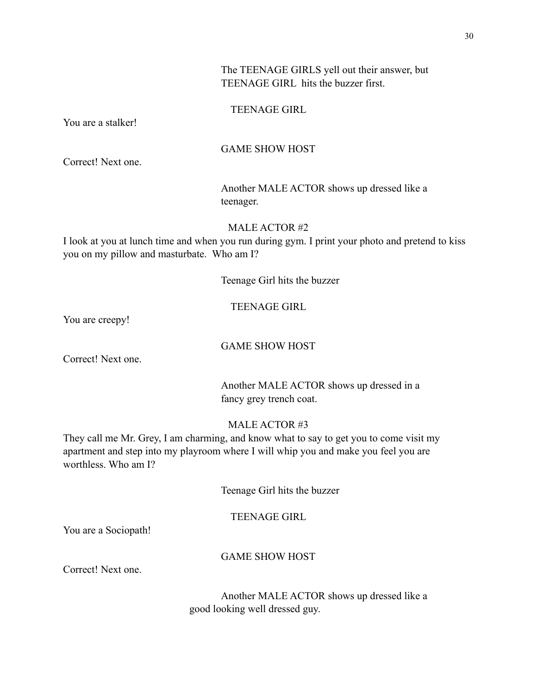# The TEENAGE GIRLS yell out their answer, but TEENAGE GIRL hits the buzzer first.

#### TEENAGE GIRL

You are a stalker!

### GAME SHOW HOST

Correct! Next one.

 Another MALE ACTOR shows up dressed like a teenager.

MALE ACTOR #2

I look at you at lunch time and when you run during gym. I print your photo and pretend to kiss you on my pillow and masturbate. Who am I?

Teenage Girl hits the buzzer

#### TEENAGE GIRL

You are creepy!

#### GAME SHOW HOST

Correct! Next one.

 Another MALE ACTOR shows up dressed in a fancy grey trench coat.

## MALE ACTOR #3

They call me Mr. Grey, I am charming, and know what to say to get you to come visit my apartment and step into my playroom where I will whip you and make you feel you are worthless. Who am I?

Teenage Girl hits the buzzer

# TEENAGE GIRL

You are a Sociopath!

# GAME SHOW HOST

Correct! Next one.

 Another MALE ACTOR shows up dressed like a good looking well dressed guy.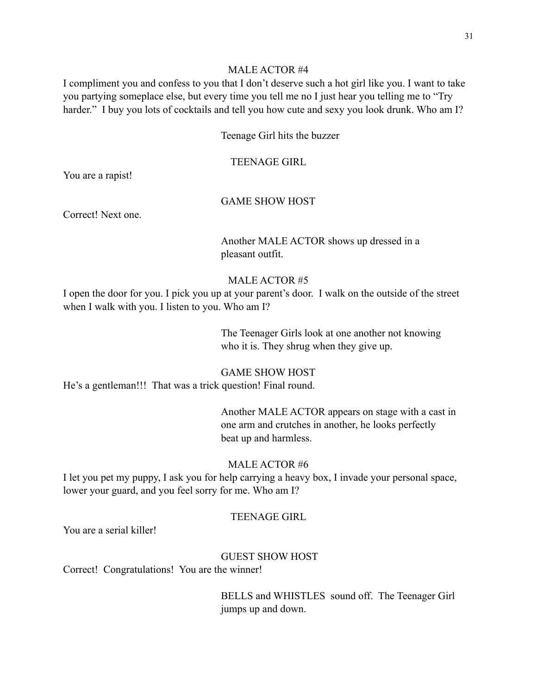#### MALE ACTOR #4

I compliment you and confess to you that I don't deserve such a hot girl like you. I want to take you partying someplace else, but every time you tell me no I just hear you telling me to "Try harder." I buy you lots of cocktails and tell you how cute and sexy you look drunk. Who am I?

Teenage Girl hits the buzzer

TEENAGE GIRL

You are a rapist!

# GAME SHOW HOST

Correct! Next one.

 Another MALE ACTOR shows up dressed in a pleasant outfit.

# MALE ACTOR #5

I open the door for you. I pick you up at your parent's door. I walk on the outside of the street when I walk with you. I listen to you. Who am I?

> The Teenager Girls look at one another not knowing who it is. They shrug when they give up.

# GAME SHOW HOST

He's a gentleman!!! That was a trick question! Final round.

 Another MALE ACTOR appears on stage with a cast in one arm and crutches in another, he looks perfectly beat up and harmless.

# MALE ACTOR #6

I let you pet my puppy, I ask you for help carrying a heavy box, I invade your personal space, lower your guard, and you feel sorry for me. Who am I?

#### TEENAGE GIRL

You are a serial killer!

# GUEST SHOW HOST

Correct! Congratulations! You are the winner!

 BELLS and WHISTLES sound off. The Teenager Girl jumps up and down.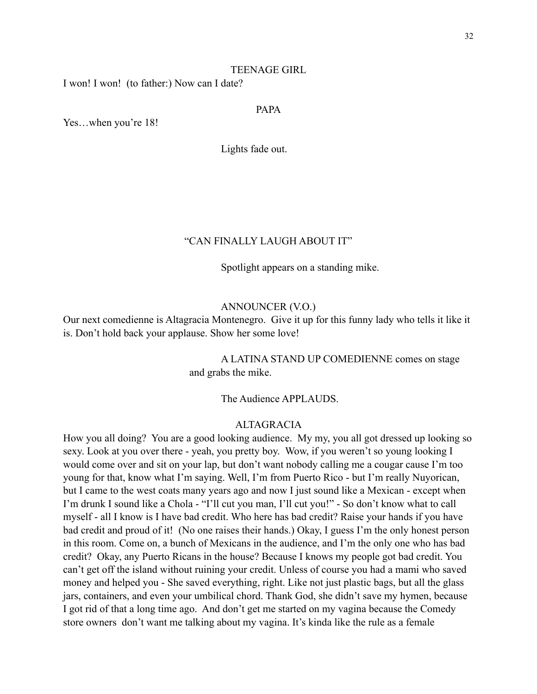#### TEENAGE GIRL

I won! I won! (to father:) Now can I date?

#### PAPA

Yes...when you're 18!

Lights fade out.

# "CAN FINALLY LAUGH ABOUT IT"

Spotlight appears on a standing mike.

#### ANNOUNCER (V.O.)

Our next comedienne is Altagracia Montenegro. Give it up for this funny lady who tells it like it is. Don't hold back your applause. Show her some love!

# A LATINA STAND UP COMEDIENNE comes on stage and grabs the mike.

The Audience APPLAUDS.

#### ALTAGRACIA

How you all doing? You are a good looking audience. My my, you all got dressed up looking so sexy. Look at you over there - yeah, you pretty boy. Wow, if you weren't so young looking I would come over and sit on your lap, but don't want nobody calling me a cougar cause I'm too young for that, know what I'm saying. Well, I'm from Puerto Rico - but I'm really Nuyorican, but I came to the west coats many years ago and now I just sound like a Mexican - except when I'm drunk I sound like a Chola - "I'll cut you man, I'll cut you!" - So don't know what to call myself - all I know is I have bad credit. Who here has bad credit? Raise your hands if you have bad credit and proud of it! (No one raises their hands.) Okay, I guess I'm the only honest person in this room. Come on, a bunch of Mexicans in the audience, and I'm the only one who has bad credit? Okay, any Puerto Ricans in the house? Because I knows my people got bad credit. You can't get off the island without ruining your credit. Unless of course you had a mami who saved money and helped you - She saved everything, right. Like not just plastic bags, but all the glass jars, containers, and even your umbilical chord. Thank God, she didn't save my hymen, because I got rid of that a long time ago. And don't get me started on my vagina because the Comedy store owners don't want me talking about my vagina. It's kinda like the rule as a female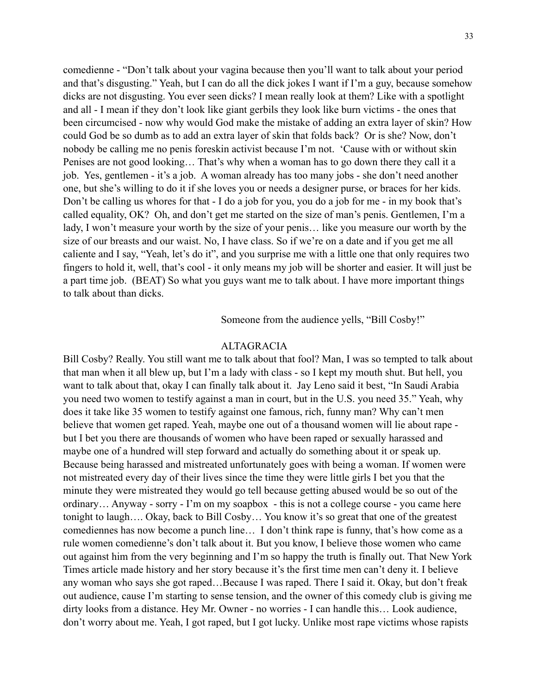comedienne - "Don't talk about your vagina because then you'll want to talk about your period and that's disgusting." Yeah, but I can do all the dick jokes I want if I'm a guy, because somehow dicks are not disgusting. You ever seen dicks? I mean really look at them? Like with a spotlight and all - I mean if they don't look like giant gerbils they look like burn victims - the ones that been circumcised - now why would God make the mistake of adding an extra layer of skin? How could God be so dumb as to add an extra layer of skin that folds back? Or is she? Now, don't nobody be calling me no penis foreskin activist because I'm not. 'Cause with or without skin Penises are not good looking… That's why when a woman has to go down there they call it a job. Yes, gentlemen - it's a job. A woman already has too many jobs - she don't need another one, but she's willing to do it if she loves you or needs a designer purse, or braces for her kids. Don't be calling us whores for that - I do a job for you, you do a job for me - in my book that's called equality, OK? Oh, and don't get me started on the size of man's penis. Gentlemen, I'm a lady, I won't measure your worth by the size of your penis... like you measure our worth by the size of our breasts and our waist. No, I have class. So if we're on a date and if you get me all caliente and I say, "Yeah, let's do it", and you surprise me with a little one that only requires two fingers to hold it, well, that's cool - it only means my job will be shorter and easier. It will just be a part time job. (BEAT) So what you guys want me to talk about. I have more important things to talk about than dicks.

Someone from the audience yells, "Bill Cosby!"

#### ALTAGRACIA

Bill Cosby? Really. You still want me to talk about that fool? Man, I was so tempted to talk about that man when it all blew up, but I'm a lady with class - so I kept my mouth shut. But hell, you want to talk about that, okay I can finally talk about it. Jay Leno said it best, "In Saudi Arabia you need two women to testify against a man in court, but in the U.S. you need 35." Yeah, why does it take like 35 women to testify against one famous, rich, funny man? Why can't men believe that women get raped. Yeah, maybe one out of a thousand women will lie about rape but I bet you there are thousands of women who have been raped or sexually harassed and maybe one of a hundred will step forward and actually do something about it or speak up. Because being harassed and mistreated unfortunately goes with being a woman. If women were not mistreated every day of their lives since the time they were little girls I bet you that the minute they were mistreated they would go tell because getting abused would be so out of the ordinary… Anyway - sorry - I'm on my soapbox - this is not a college course - you came here tonight to laugh…. Okay, back to Bill Cosby… You know it's so great that one of the greatest comediennes has now become a punch line… I don't think rape is funny, that's how come as a rule women comedienne's don't talk about it. But you know, I believe those women who came out against him from the very beginning and I'm so happy the truth is finally out. That New York Times article made history and her story because it's the first time men can't deny it. I believe any woman who says she got raped…Because I was raped. There I said it. Okay, but don't freak out audience, cause I'm starting to sense tension, and the owner of this comedy club is giving me dirty looks from a distance. Hey Mr. Owner - no worries - I can handle this… Look audience, don't worry about me. Yeah, I got raped, but I got lucky. Unlike most rape victims whose rapists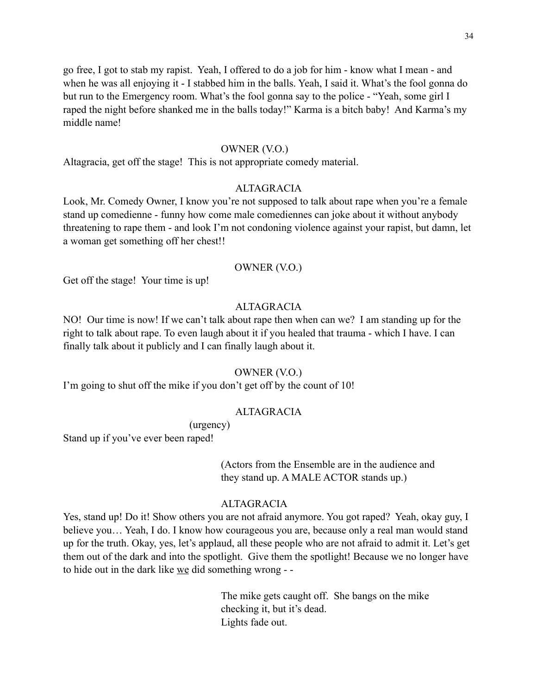go free, I got to stab my rapist. Yeah, I offered to do a job for him - know what I mean - and when he was all enjoying it - I stabbed him in the balls. Yeah, I said it. What's the fool gonna do but run to the Emergency room. What's the fool gonna say to the police - "Yeah, some girl I raped the night before shanked me in the balls today!" Karma is a bitch baby! And Karma's my middle name!

### OWNER (V.O.)

Altagracia, get off the stage! This is not appropriate comedy material.

# ALTAGRACIA

Look, Mr. Comedy Owner, I know you're not supposed to talk about rape when you're a female stand up comedienne - funny how come male comediennes can joke about it without anybody threatening to rape them - and look I'm not condoning violence against your rapist, but damn, let a woman get something off her chest!!

#### OWNER (V.O.)

Get off the stage! Your time is up!

#### ALTAGRACIA

NO! Our time is now! If we can't talk about rape then when can we? I am standing up for the right to talk about rape. To even laugh about it if you healed that trauma - which I have. I can finally talk about it publicly and I can finally laugh about it.

#### OWNER (V.O.)

I'm going to shut off the mike if you don't get off by the count of 10!

# **ALTAGRACIA**

(urgency)

Stand up if you've ever been raped!

 (Actors from the Ensemble are in the audience and they stand up. A MALE ACTOR stands up.)

#### ALTAGRACIA

Yes, stand up! Do it! Show others you are not afraid anymore. You got raped? Yeah, okay guy, I believe you… Yeah, I do. I know how courageous you are, because only a real man would stand up for the truth. Okay, yes, let's applaud, all these people who are not afraid to admit it. Let's get them out of the dark and into the spotlight. Give them the spotlight! Because we no longer have to hide out in the dark like we did something wrong - -

> The mike gets caught off. She bangs on the mike checking it, but it's dead. Lights fade out.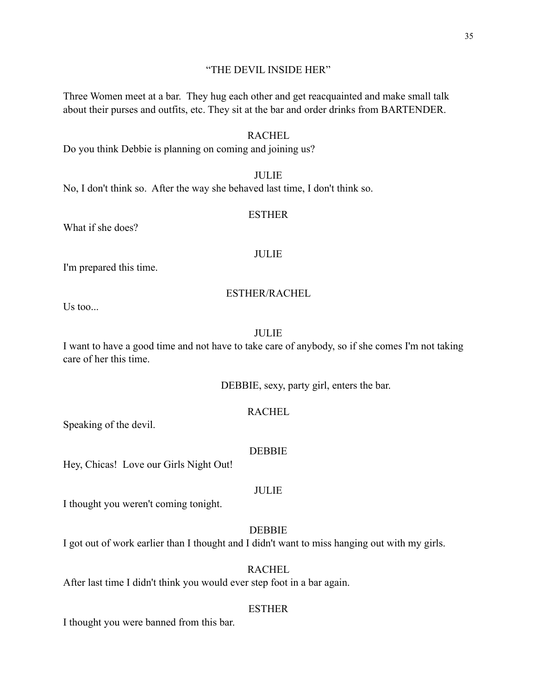#### "THE DEVIL INSIDE HER"

Three Women meet at a bar. They hug each other and get reacquainted and make small talk about their purses and outfits, etc. They sit at the bar and order drinks from BARTENDER.

# RACHEL

Do you think Debbie is planning on coming and joining us?

# **JULIE**

No, I don't think so. After the way she behaved last time, I don't think so.

#### ESTHER

What if she does?

#### JULIE

I'm prepared this time.

#### ESTHER/RACHEL

 $Us$  too...

# JULIE

I want to have a good time and not have to take care of anybody, so if she comes I'm not taking care of her this time.

DEBBIE, sexy, party girl, enters the bar.

# RACHEL

Speaking of the devil.

#### **DEBBIE**

Hey, Chicas! Love our Girls Night Out!

#### JULIE

I thought you weren't coming tonight.

# DEBBIE

I got out of work earlier than I thought and I didn't want to miss hanging out with my girls.

#### **RACHEL**

After last time I didn't think you would ever step foot in a bar again.

#### **ESTHER**

I thought you were banned from this bar.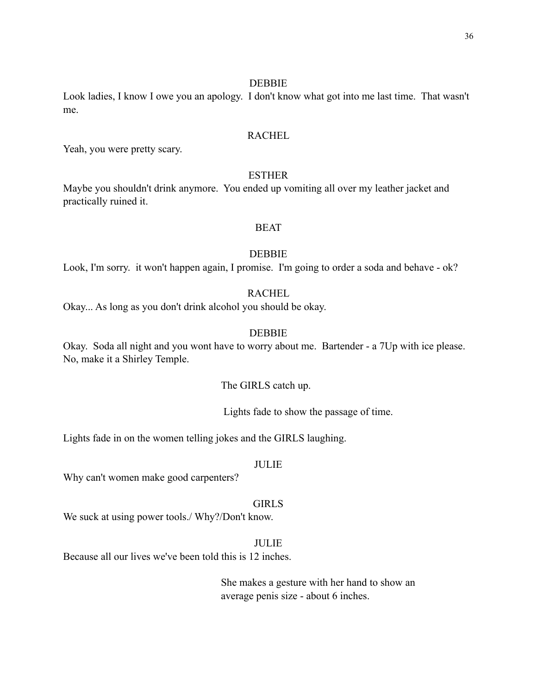#### DEBBIE

Look ladies, I know I owe you an apology. I don't know what got into me last time. That wasn't me.

# **RACHEL**

Yeah, you were pretty scary.

# **ESTHER**

Maybe you shouldn't drink anymore. You ended up vomiting all over my leather jacket and practically ruined it.

# BEAT

#### DEBBIE

Look, I'm sorry. it won't happen again, I promise. I'm going to order a soda and behave - ok?

# **RACHEL**

Okay... As long as you don't drink alcohol you should be okay.

# DEBBIE

Okay. Soda all night and you wont have to worry about me. Bartender - a 7Up with ice please. No, make it a Shirley Temple.

The GIRLS catch up.

Lights fade to show the passage of time.

Lights fade in on the women telling jokes and the GIRLS laughing.

# JULIE

Why can't women make good carpenters?

#### GIRLS

We suck at using power tools./ Why?/Don't know.

#### JULIE

Because all our lives we've been told this is 12 inches.

 She makes a gesture with her hand to show an average penis size - about 6 inches.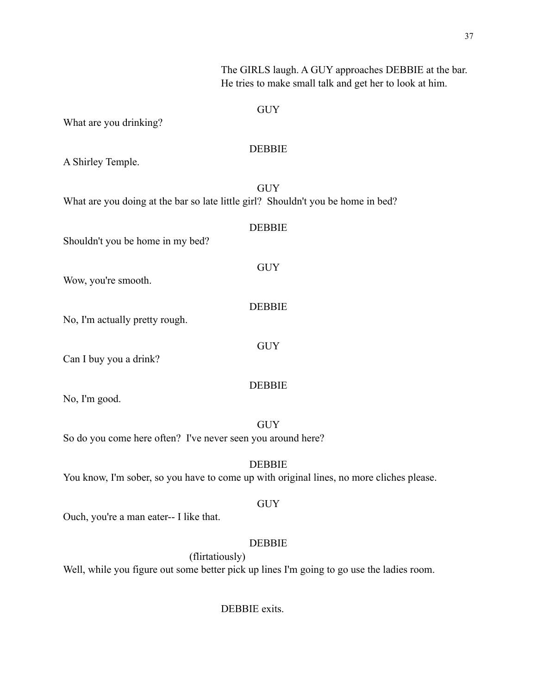| The GIRLS laugh. A GUY approaches DEBBIE at the bar.<br>He tries to make small talk and get her to look at him. |
|-----------------------------------------------------------------------------------------------------------------|
| <b>GUY</b>                                                                                                      |
| What are you drinking?                                                                                          |
| <b>DEBBIE</b><br>A Shirley Temple.                                                                              |
| <b>GUY</b><br>What are you doing at the bar so late little girl? Shouldn't you be home in bed?                  |
| <b>DEBBIE</b><br>Shouldn't you be home in my bed?                                                               |
| <b>GUY</b><br>Wow, you're smooth.                                                                               |
| <b>DEBBIE</b><br>No, I'm actually pretty rough.                                                                 |
| <b>GUY</b><br>Can I buy you a drink?                                                                            |
| <b>DEBBIE</b><br>No, I'm good.                                                                                  |
| <b>GUY</b><br>So do you come here often? I've never seen you around here?                                       |
| <b>DEBBIE</b><br>You know, I'm sober, so you have to come up with original lines, no more cliches please.       |
| <b>GUY</b><br>Ouch, you're a man eater-- I like that.                                                           |
| <b>DEBBIE</b>                                                                                                   |
| (flirtatiously)<br>Well, while you figure out some better pick up lines I'm going to go use the ladies room.    |

DEBBIE exits.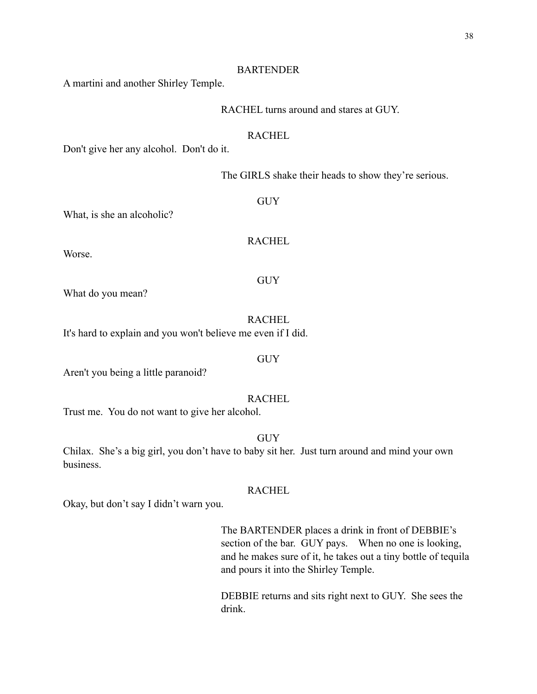#### BARTENDER

A martini and another Shirley Temple.

#### RACHEL turns around and stares at GUY.

# **RACHEL**

Don't give her any alcohol. Don't do it.

The GIRLS shake their heads to show they're serious.

What, is she an alcoholic?

**RACHEL** 

GUY

GUY

Worse.

What do you mean?

**RACHEL** It's hard to explain and you won't believe me even if I did.

Aren't you being a little paranoid?

#### RACHEL

GUY

Trust me. You do not want to give her alcohol.

GUY

Chilax. She's a big girl, you don't have to baby sit her. Just turn around and mind your own business.

# RACHEL

Okay, but don't say I didn't warn you.

The BARTENDER places a drink in front of DEBBIE's section of the bar. GUY pays. When no one is looking, and he makes sure of it, he takes out a tiny bottle of tequila and pours it into the Shirley Temple.

DEBBIE returns and sits right next to GUY. She sees the drink.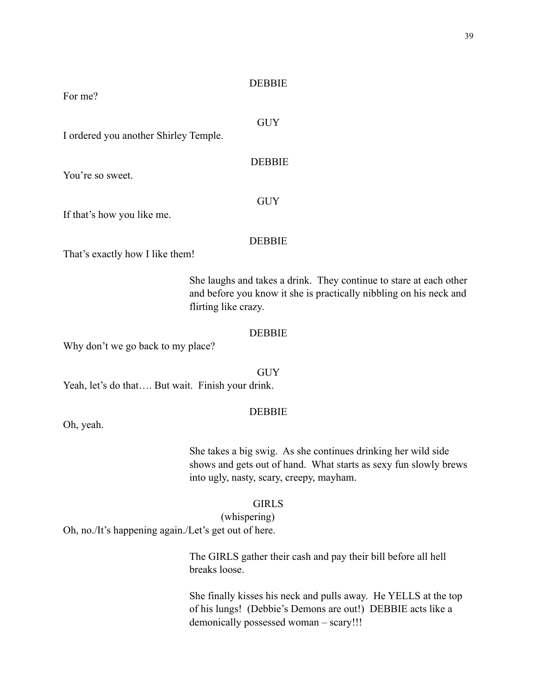#### **DEBBIE**

For me?

GUY

I ordered you another Shirley Temple.

**DEBBIE** 

If that's how you like me.

You're so sweet.

#### DEBBIE

GUY

That's exactly how I like them!

She laughs and takes a drink. They continue to stare at each other and before you know it she is practically nibbling on his neck and flirting like crazy.

#### DEBBIE

Why don't we go back to my place?

**GUY** Yeah, let's do that.... But wait. Finish your drink.

#### **DEBBIE**

Oh, yeah.

She takes a big swig. As she continues drinking her wild side shows and gets out of hand. What starts as sexy fun slowly brews into ugly, nasty, scary, creepy, mayham.

#### GIRLS

 (whispering) Oh, no./It's happening again./Let's get out of here.

> The GIRLS gather their cash and pay their bill before all hell breaks loose.

She finally kisses his neck and pulls away. He YELLS at the top of his lungs! (Debbie's Demons are out!) DEBBIE acts like a demonically possessed woman – scary!!!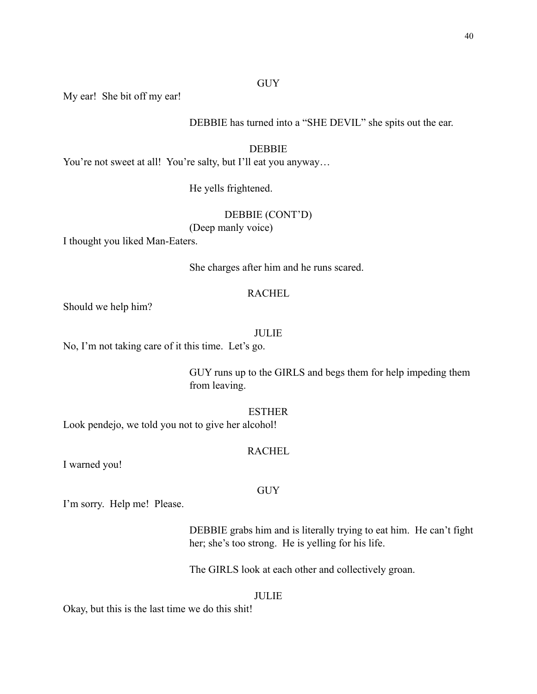# **GUY**

My ear! She bit off my ear!

DEBBIE has turned into a "SHE DEVIL" she spits out the ear.

### DEBBIE

You're not sweet at all! You're salty, but I'll eat you anyway...

He yells frightened.

#### DEBBIE (CONT'D)

(Deep manly voice)

I thought you liked Man-Eaters.

She charges after him and he runs scared.

#### **RACHEL**

Should we help him?

# JULIE

No, I'm not taking care of it this time. Let's go.

GUY runs up to the GIRLS and begs them for help impeding them from leaving.

ESTHER

Look pendejo, we told you not to give her alcohol!

#### **RACHEL**

GUY

I warned you!

I'm sorry. Help me! Please.

DEBBIE grabs him and is literally trying to eat him. He can't fight her; she's too strong. He is yelling for his life.

The GIRLS look at each other and collectively groan.

#### JULIE

Okay, but this is the last time we do this shit!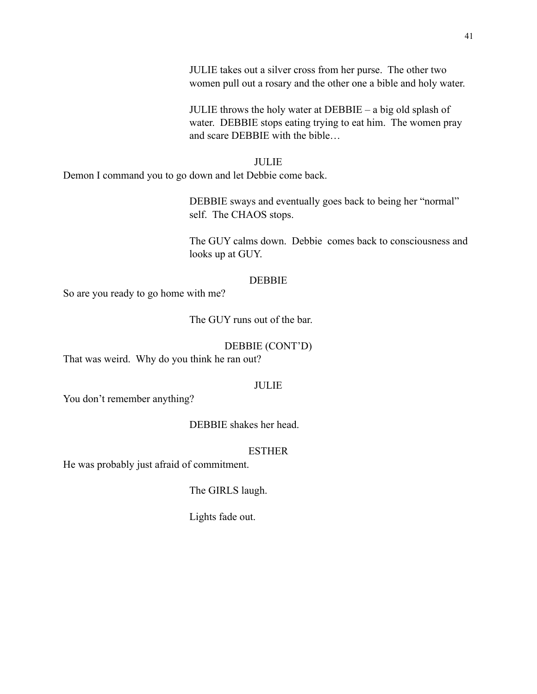JULIE throws the holy water at DEBBIE – a big old splash of water. DEBBIE stops eating trying to eat him. The women pray and scare DEBBIE with the bible…

#### JULIE

Demon I command you to go down and let Debbie come back.

DEBBIE sways and eventually goes back to being her "normal" self. The CHAOS stops.

The GUY calms down. Debbie comes back to consciousness and looks up at GUY.

# DEBBIE

So are you ready to go home with me?

The GUY runs out of the bar.

# DEBBIE (CONT'D)

That was weird. Why do you think he ran out?

# JULIE

You don't remember anything?

DEBBIE shakes her head.

# ESTHER

He was probably just afraid of commitment.

# The GIRLS laugh.

Lights fade out.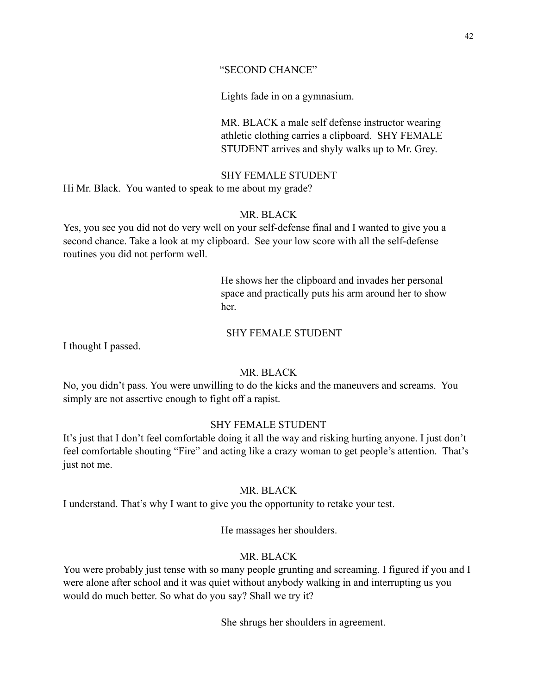# "SECOND CHANCE"

Lights fade in on a gymnasium.

 MR. BLACK a male self defense instructor wearing athletic clothing carries a clipboard. SHY FEMALE STUDENT arrives and shyly walks up to Mr. Grey.

# SHY FEMALE STUDENT

Hi Mr. Black. You wanted to speak to me about my grade?

# MR. BLACK

Yes, you see you did not do very well on your self-defense final and I wanted to give you a second chance. Take a look at my clipboard. See your low score with all the self-defense routines you did not perform well.

 He shows her the clipboard and invades her personal space and practically puts his arm around her to show her.

#### SHY FEMALE STUDENT

I thought I passed.

# MR. BLACK

No, you didn't pass. You were unwilling to do the kicks and the maneuvers and screams. You simply are not assertive enough to fight off a rapist.

# SHY FEMALE STUDENT

It's just that I don't feel comfortable doing it all the way and risking hurting anyone. I just don't feel comfortable shouting "Fire" and acting like a crazy woman to get people's attention. That's just not me.

#### MR. BLACK

I understand. That's why I want to give you the opportunity to retake your test.

He massages her shoulders.

# MR. BLACK

You were probably just tense with so many people grunting and screaming. I figured if you and I were alone after school and it was quiet without anybody walking in and interrupting us you would do much better. So what do you say? Shall we try it?

She shrugs her shoulders in agreement.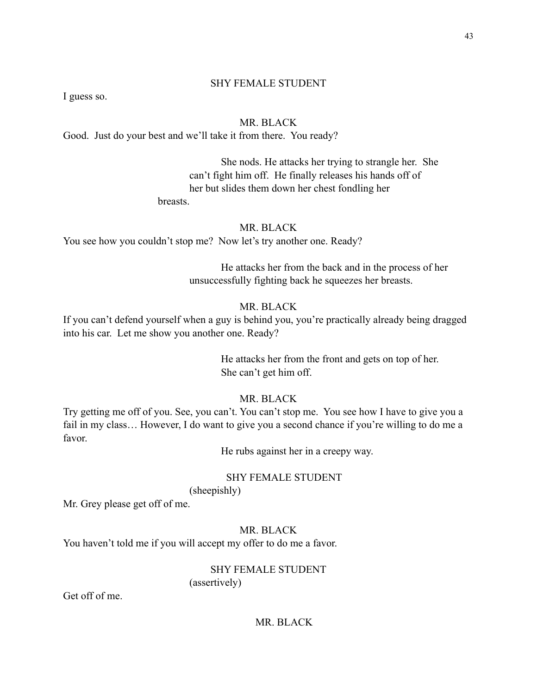#### SHY FEMALE STUDENT

I guess so.

# MR. BLACK

Good. Just do your best and we'll take it from there. You ready?

 She nods. He attacks her trying to strangle her. She can't fight him off. He finally releases his hands off of her but slides them down her chest fondling her

breasts.

# MR. BLACK

You see how you couldn't stop me? Now let's try another one. Ready?

 He attacks her from the back and in the process of her unsuccessfully fighting back he squeezes her breasts.

# MR. BLACK

If you can't defend yourself when a guy is behind you, you're practically already being dragged into his car. Let me show you another one. Ready?

> He attacks her from the front and gets on top of her. She can't get him off.

#### MR. BLACK

Try getting me off of you. See, you can't. You can't stop me. You see how I have to give you a fail in my class… However, I do want to give you a second chance if you're willing to do me a favor.

He rubs against her in a creepy way.

#### SHY FEMALE STUDENT

(sheepishly)

Mr. Grey please get off of me.

#### MR. BLACK

You haven't told me if you will accept my offer to do me a favor.

# SHY FEMALE STUDENT (assertively)

Get off of me.

# MR. BLACK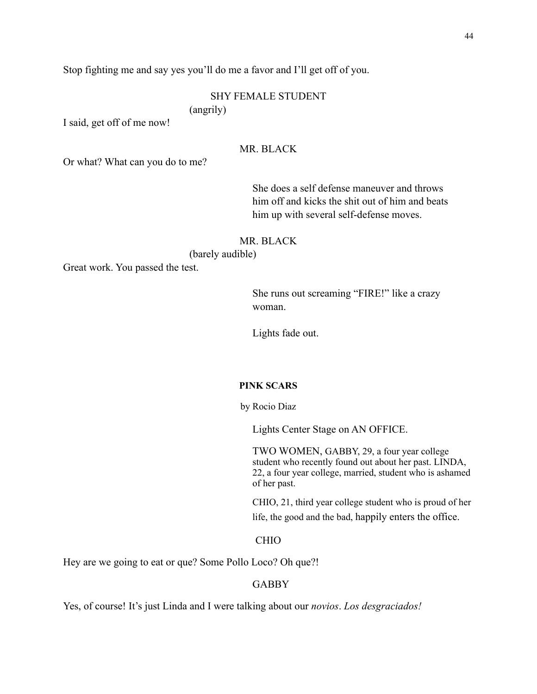Stop fighting me and say yes you'll do me a favor and I'll get off of you.

# SHY FEMALE STUDENT

(angrily)

I said, get off of me now!

# MR. BLACK

Or what? What can you do to me?

 She does a self defense maneuver and throws him off and kicks the shit out of him and beats him up with several self-defense moves.

#### MR. BLACK

(barely audible)

Great work. You passed the test.

 She runs out screaming "FIRE!" like a crazy woman.

Lights fade out.

#### **PINK SCARS**

by Rocio Diaz

Lights Center Stage on AN OFFICE.

TWO WOMEN, GABBY, 29, a four year college student who recently found out about her past. LINDA, 22, a four year college, married, student who is ashamed of her past.

 CHIO, 21, third year college student who is proud of her life, the good and the bad, happily enters the office.

#### CHIO

Hey are we going to eat or que? Some Pollo Loco? Oh que?!

#### GABBY

Yes, of course! It's just Linda and I were talking about our *novios*. *Los desgraciados!*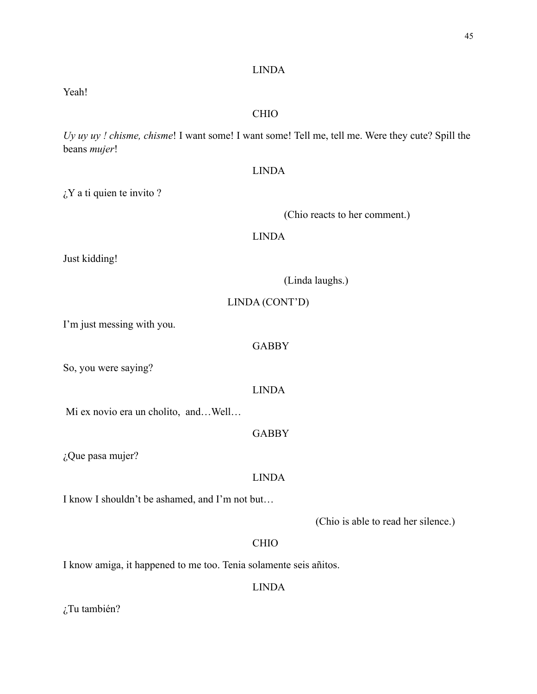#### LINDA

Yeah!

#### CHIO

*Uy uy uy ! chisme, chisme*! I want some! I want some! Tell me, tell me. Were they cute? Spill the beans *mujer*!

# LINDA

 $\lambda$ <sup>Y</sup> a ti quien te invito ?

(Chio reacts to her comment.)

# LINDA

Just kidding!

| (Linda laughs.) |  |  |
|-----------------|--|--|
|                 |  |  |

#### LINDA (CONT'D)

I'm just messing with you.

#### GABBY

So, you were saying?

# LINDA

Mi ex novio era un cholito, and…Well…

# **GABBY**

¿Que pasa mujer?

#### LINDA

I know I shouldn't be ashamed, and I'm not but…

(Chio is able to read her silence.)

# CHIO

I know amiga, it happened to me too. Tenia solamente seis añitos.

#### LINDA

¿Tu también?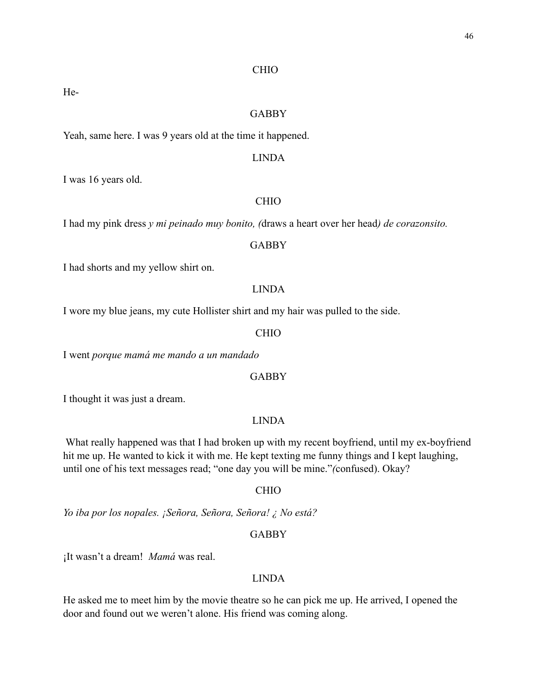#### CHIO

He-

#### GABBY

Yeah, same here. I was 9 years old at the time it happened.

#### LINDA

I was 16 years old.

## CHIO

I had my pink dress *y mi peinado muy bonito, (*draws a heart over her head*) de corazonsito.* 

#### GABBY

I had shorts and my yellow shirt on.

#### LINDA

I wore my blue jeans, my cute Hollister shirt and my hair was pulled to the side.

# CHIO

I went *porque mamá me mando a un mandado*

# GABBY

I thought it was just a dream.

# LINDA

 What really happened was that I had broken up with my recent boyfriend, until my ex-boyfriend hit me up. He wanted to kick it with me. He kept texting me funny things and I kept laughing, until one of his text messages read; "one day you will be mine."*(*confused). Okay?

#### CHIO

*Yo iba por los nopales. ¡Señora, Señora, Señora! ¿ No está?* 

# GABBY

¡It wasn't a dream! *Mamá* was real.

#### LINDA

He asked me to meet him by the movie theatre so he can pick me up. He arrived, I opened the door and found out we weren't alone. His friend was coming along.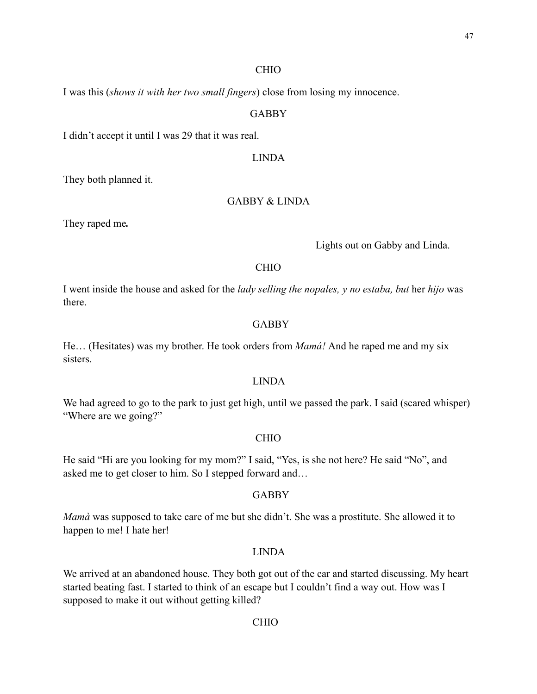#### CHIO

I was this (*shows it with her two small fingers*) close from losing my innocence.

#### GABBY

I didn't accept it until I was 29 that it was real.

#### LINDA

They both planned it.

#### GABBY & LINDA

They raped me*.* 

Lights out on Gabby and Linda.

#### CHIO

I went inside the house and asked for the *lady selling the nopales, y no estaba, but* her *hijo* was there.

#### GABBY

He… (Hesitates) was my brother. He took orders from *Mamá!* And he raped me and my six sisters.

# LINDA

We had agreed to go to the park to just get high, until we passed the park. I said (scared whisper) "Where are we going?"

#### CHIO

He said "Hi are you looking for my mom?" I said, "Yes, is she not here? He said "No", and asked me to get closer to him. So I stepped forward and…

#### GABBY

*Mamà* was supposed to take care of me but she didn't. She was a prostitute. She allowed it to happen to me! I hate her!

#### LINDA

We arrived at an abandoned house. They both got out of the car and started discussing. My heart started beating fast. I started to think of an escape but I couldn't find a way out. How was I supposed to make it out without getting killed?

#### CHIO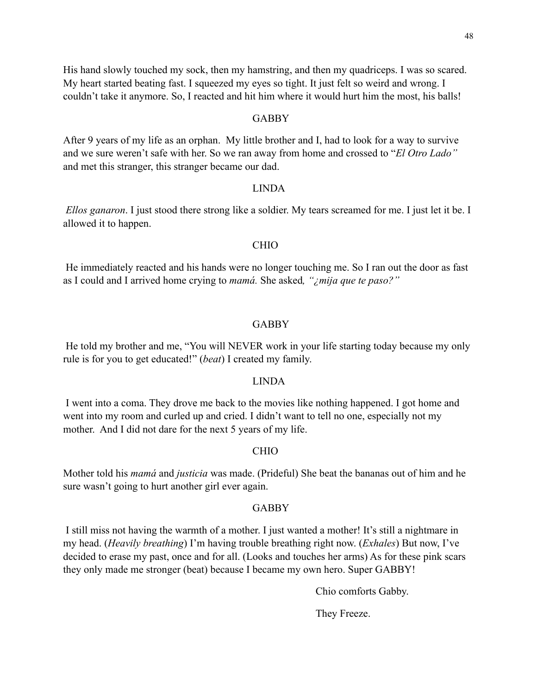His hand slowly touched my sock, then my hamstring, and then my quadriceps. I was so scared. My heart started beating fast. I squeezed my eyes so tight. It just felt so weird and wrong. I couldn't take it anymore. So, I reacted and hit him where it would hurt him the most, his balls!

#### GABBY

After 9 years of my life as an orphan. My little brother and I, had to look for a way to survive and we sure weren't safe with her. So we ran away from home and crossed to "*El Otro Lado"* and met this stranger, this stranger became our dad.

# LINDA

 *Ellos ganaron*. I just stood there strong like a soldier. My tears screamed for me. I just let it be. I allowed it to happen.

#### CHIO

 He immediately reacted and his hands were no longer touching me. So I ran out the door as fast as I could and I arrived home crying to *mamá.* She asked*, "¿mija que te paso?"*

#### GABBY

 He told my brother and me, "You will NEVER work in your life starting today because my only rule is for you to get educated!" (*beat*) I created my family.

#### LINDA

 I went into a coma. They drove me back to the movies like nothing happened. I got home and went into my room and curled up and cried. I didn't want to tell no one, especially not my mother. And I did not dare for the next 5 years of my life.

# CHIO

Mother told his *mamá* and *justicia* was made. (Prideful) She beat the bananas out of him and he sure wasn't going to hurt another girl ever again.

#### GABBY

 I still miss not having the warmth of a mother. I just wanted a mother! It's still a nightmare in my head. (*Heavily breathing*) I'm having trouble breathing right now. (*Exhales*) But now, I've decided to erase my past, once and for all. (Looks and touches her arms) As for these pink scars they only made me stronger (beat) because I became my own hero. Super GABBY!

Chio comforts Gabby.

They Freeze.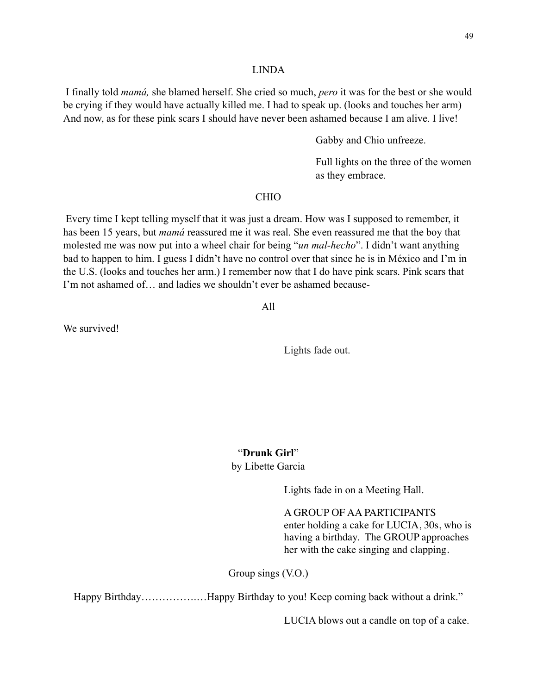#### LINDA

 I finally told *mamá,* she blamed herself. She cried so much, *pero* it was for the best or she would be crying if they would have actually killed me. I had to speak up. (looks and touches her arm) And now, as for these pink scars I should have never been ashamed because I am alive. I live!

Gabby and Chio unfreeze.

 Full lights on the three of the women as they embrace.

# CHIO

 Every time I kept telling myself that it was just a dream. How was I supposed to remember, it has been 15 years, but *mamá* reassured me it was real. She even reassured me that the boy that molested me was now put into a wheel chair for being "*un mal-hecho*". I didn't want anything bad to happen to him. I guess I didn't have no control over that since he is in México and I'm in the U.S. (looks and touches her arm.) I remember now that I do have pink scars. Pink scars that I'm not ashamed of… and ladies we shouldn't ever be ashamed because-

All

We survived!

Lights fade out.

"**Drunk Girl**" by Libette Garcia

Lights fade in on a Meeting Hall.

A GROUP OF AA PARTICIPANTS enter holding a cake for LUCIA, 30s, who is having a birthday. The GROUP approaches her with the cake singing and clapping.

Group sings (V.O.)

Happy Birthday…………….…Happy Birthday to you! Keep coming back without a drink."

LUCIA blows out a candle on top of a cake.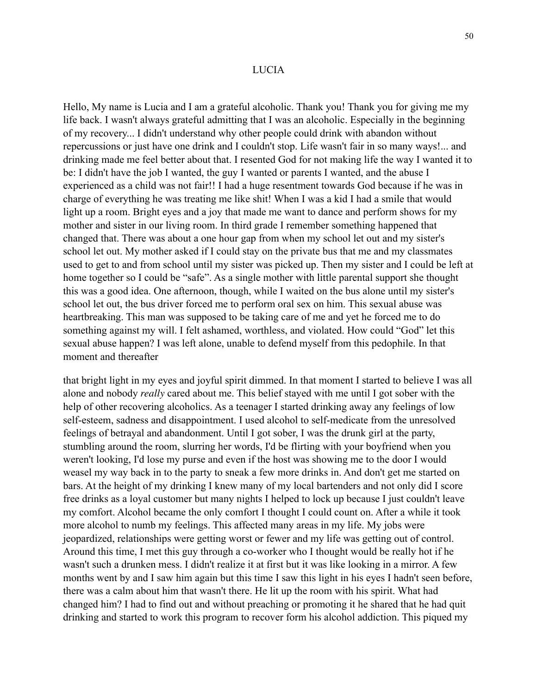#### LUCIA

Hello, My name is Lucia and I am a grateful alcoholic. Thank you! Thank you for giving me my life back. I wasn't always grateful admitting that I was an alcoholic. Especially in the beginning of my recovery... I didn't understand why other people could drink with abandon without repercussions or just have one drink and I couldn't stop. Life wasn't fair in so many ways!... and drinking made me feel better about that. I resented God for not making life the way I wanted it to be: I didn't have the job I wanted, the guy I wanted or parents I wanted, and the abuse I experienced as a child was not fair!! I had a huge resentment towards God because if he was in charge of everything he was treating me like shit! When I was a kid I had a smile that would light up a room. Bright eyes and a joy that made me want to dance and perform shows for my mother and sister in our living room. In third grade I remember something happened that changed that. There was about a one hour gap from when my school let out and my sister's school let out. My mother asked if I could stay on the private bus that me and my classmates used to get to and from school until my sister was picked up. Then my sister and I could be left at home together so I could be "safe". As a single mother with little parental support she thought this was a good idea. One afternoon, though, while I waited on the bus alone until my sister's school let out, the bus driver forced me to perform oral sex on him. This sexual abuse was heartbreaking. This man was supposed to be taking care of me and yet he forced me to do something against my will. I felt ashamed, worthless, and violated. How could "God" let this sexual abuse happen? I was left alone, unable to defend myself from this pedophile. In that moment and thereafter

that bright light in my eyes and joyful spirit dimmed. In that moment I started to believe I was all alone and nobody *really* cared about me. This belief stayed with me until I got sober with the help of other recovering alcoholics. As a teenager I started drinking away any feelings of low self-esteem, sadness and disappointment. I used alcohol to self-medicate from the unresolved feelings of betrayal and abandonment. Until I got sober, I was the drunk girl at the party, stumbling around the room, slurring her words, I'd be flirting with your boyfriend when you weren't looking, I'd lose my purse and even if the host was showing me to the door I would weasel my way back in to the party to sneak a few more drinks in. And don't get me started on bars. At the height of my drinking I knew many of my local bartenders and not only did I score free drinks as a loyal customer but many nights I helped to lock up because I just couldn't leave my comfort. Alcohol became the only comfort I thought I could count on. After a while it took more alcohol to numb my feelings. This affected many areas in my life. My jobs were jeopardized, relationships were getting worst or fewer and my life was getting out of control. Around this time, I met this guy through a co-worker who I thought would be really hot if he wasn't such a drunken mess. I didn't realize it at first but it was like looking in a mirror. A few months went by and I saw him again but this time I saw this light in his eyes I hadn't seen before, there was a calm about him that wasn't there. He lit up the room with his spirit. What had changed him? I had to find out and without preaching or promoting it he shared that he had quit drinking and started to work this program to recover form his alcohol addiction. This piqued my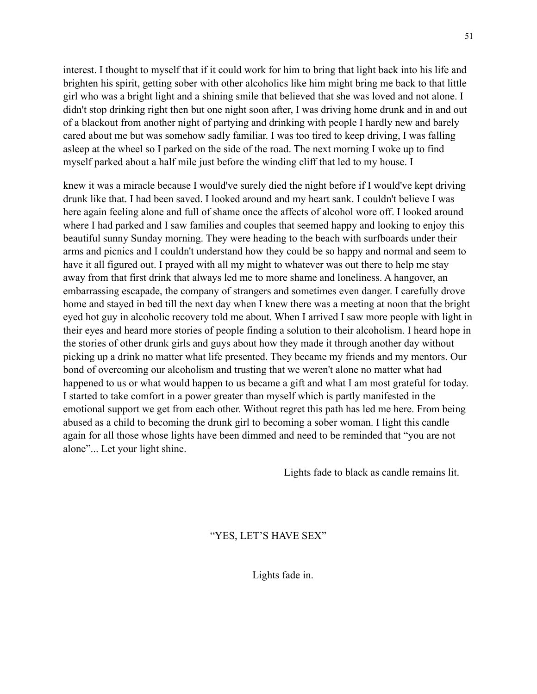interest. I thought to myself that if it could work for him to bring that light back into his life and brighten his spirit, getting sober with other alcoholics like him might bring me back to that little girl who was a bright light and a shining smile that believed that she was loved and not alone. I didn't stop drinking right then but one night soon after, I was driving home drunk and in and out of a blackout from another night of partying and drinking with people I hardly new and barely cared about me but was somehow sadly familiar. I was too tired to keep driving, I was falling asleep at the wheel so I parked on the side of the road. The next morning I woke up to find myself parked about a half mile just before the winding cliff that led to my house. I

knew it was a miracle because I would've surely died the night before if I would've kept driving drunk like that. I had been saved. I looked around and my heart sank. I couldn't believe I was here again feeling alone and full of shame once the affects of alcohol wore off. I looked around where I had parked and I saw families and couples that seemed happy and looking to enjoy this beautiful sunny Sunday morning. They were heading to the beach with surfboards under their arms and picnics and I couldn't understand how they could be so happy and normal and seem to have it all figured out. I prayed with all my might to whatever was out there to help me stay away from that first drink that always led me to more shame and loneliness. A hangover, an embarrassing escapade, the company of strangers and sometimes even danger. I carefully drove home and stayed in bed till the next day when I knew there was a meeting at noon that the bright eyed hot guy in alcoholic recovery told me about. When I arrived I saw more people with light in their eyes and heard more stories of people finding a solution to their alcoholism. I heard hope in the stories of other drunk girls and guys about how they made it through another day without picking up a drink no matter what life presented. They became my friends and my mentors. Our bond of overcoming our alcoholism and trusting that we weren't alone no matter what had happened to us or what would happen to us became a gift and what I am most grateful for today. I started to take comfort in a power greater than myself which is partly manifested in the emotional support we get from each other. Without regret this path has led me here. From being abused as a child to becoming the drunk girl to becoming a sober woman. I light this candle again for all those whose lights have been dimmed and need to be reminded that "you are not alone"... Let your light shine.

Lights fade to black as candle remains lit.

"YES, LET'S HAVE SEX"

Lights fade in.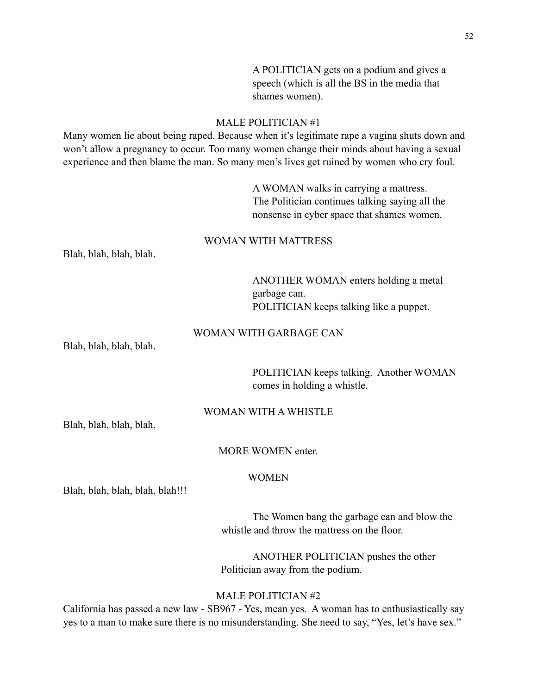A POLITICIAN gets on a podium and gives a speech (which is all the BS in the media that shames women).

# MALE POLITICIAN #1

Many women lie about being raped. Because when it's legitimate rape a vagina shuts down and won't allow a pregnancy to occur. Too many women change their minds about having a sexual experience and then blame the man. So many men's lives get ruined by women who cry foul.

> A WOMAN walks in carrying a mattress. The Politician continues talking saying all the nonsense in cyber space that shames women.

# WOMAN WITH MATTRESS

Blah, blah, blah, blah.

 ANOTHER WOMAN enters holding a metal garbage can. POLITICIAN keeps talking like a puppet.

# WOMAN WITH GARBAGE CAN

Blah, blah, blah, blah.

 POLITICIAN keeps talking. Another WOMAN comes in holding a whistle.

# WOMAN WITH A WHISTLE

Blah, blah, blah, blah.

#### MORE WOMEN enter.

# WOMEN

Blah, blah, blah, blah, blah!!!

 The Women bang the garbage can and blow the whistle and throw the mattress on the floor.

 ANOTHER POLITICIAN pushes the other Politician away from the podium.

#### MALE POLITICIAN #2

California has passed a new law - SB967 - Yes, mean yes. A woman has to enthusiastically say yes to a man to make sure there is no misunderstanding. She need to say, "Yes, let's have sex."